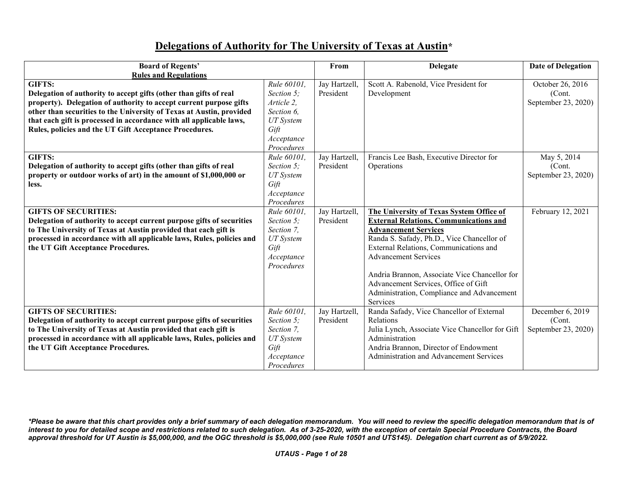## **Delegations of Authority for The University of Texas at Austin\***

| <b>Board of Regents'</b>                                              |                          | From          | <b>Delegate</b>                                                   | <b>Date of Delegation</b> |
|-----------------------------------------------------------------------|--------------------------|---------------|-------------------------------------------------------------------|---------------------------|
| <b>Rules and Regulations</b>                                          |                          |               |                                                                   |                           |
| GIFTS:                                                                | Rule 60101,              | Jay Hartzell, | Scott A. Rabenold, Vice President for                             | October 26, 2016          |
| Delegation of authority to accept gifts (other than gifts of real     | Section 5:               | President     | Development                                                       | (Cont.                    |
| property). Delegation of authority to accept current purpose gifts    | Article 2,               |               |                                                                   | September 23, 2020)       |
| other than securities to the University of Texas at Austin, provided  | Section 6,               |               |                                                                   |                           |
| that each gift is processed in accordance with all applicable laws,   | <b>UT</b> System         |               |                                                                   |                           |
| Rules, policies and the UT Gift Acceptance Procedures.                | Gift                     |               |                                                                   |                           |
|                                                                       | Acceptance               |               |                                                                   |                           |
|                                                                       | Procedures               |               |                                                                   |                           |
| GIFTS:                                                                | Rule 60101,              | Jay Hartzell, | Francis Lee Bash, Executive Director for                          | May 5, 2014               |
| Delegation of authority to accept gifts (other than gifts of real     | Section 5;               | President     | Operations                                                        | (Cont.                    |
| property or outdoor works of art) in the amount of \$1,000,000 or     | <b>UT</b> System         |               |                                                                   | September 23, 2020)       |
| less.                                                                 | Gift                     |               |                                                                   |                           |
|                                                                       | Acceptance               |               |                                                                   |                           |
|                                                                       | Procedures               |               |                                                                   |                           |
| <b>GIFTS OF SECURITIES:</b>                                           | Rule 60101,              | Jay Hartzell, | The University of Texas System Office of                          | February 12, 2021         |
| Delegation of authority to accept current purpose gifts of securities | Section 5;               | President     | <b>External Relations, Communications and</b>                     |                           |
| to The University of Texas at Austin provided that each gift is       | Section 7,               |               | <b>Advancement Services</b>                                       |                           |
| processed in accordance with all applicable laws, Rules, policies and | <b>UT</b> System         |               | Randa S. Safady, Ph.D., Vice Chancellor of                        |                           |
| the UT Gift Acceptance Procedures.                                    | Gift                     |               | External Relations, Communications and                            |                           |
|                                                                       | Acceptance               |               | <b>Advancement Services</b>                                       |                           |
|                                                                       | Procedures               |               |                                                                   |                           |
|                                                                       |                          |               | Andria Brannon, Associate Vice Chancellor for                     |                           |
|                                                                       |                          |               | Advancement Services, Office of Gift                              |                           |
|                                                                       |                          |               |                                                                   |                           |
|                                                                       |                          |               | Administration, Compliance and Advancement<br>Services            |                           |
| <b>GIFTS OF SECURITIES:</b>                                           |                          |               |                                                                   |                           |
|                                                                       | Rule 60101,              | Jay Hartzell, | Randa Safady, Vice Chancellor of External                         | December 6, 2019          |
| Delegation of authority to accept current purpose gifts of securities | Section 5;<br>Section 7, | President     | Relations                                                         | (Cont.                    |
| to The University of Texas at Austin provided that each gift is       |                          |               | Julia Lynch, Associate Vice Chancellor for Gift<br>Administration | September 23, 2020)       |
| processed in accordance with all applicable laws, Rules, policies and | <b>UT</b> System         |               |                                                                   |                           |
| the UT Gift Acceptance Procedures.                                    | Gift                     |               | Andria Brannon, Director of Endowment                             |                           |
|                                                                       | Acceptance               |               | Administration and Advancement Services                           |                           |
|                                                                       | Procedures               |               |                                                                   |                           |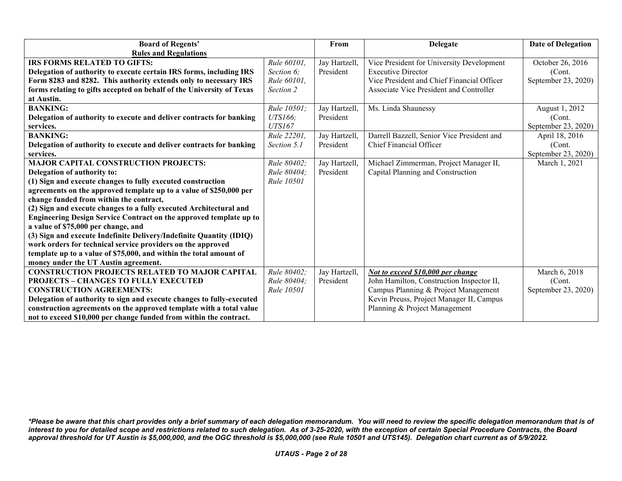| <b>Board of Regents'</b>                                              |                   | From          | <b>Delegate</b>                            | <b>Date of Delegation</b> |
|-----------------------------------------------------------------------|-------------------|---------------|--------------------------------------------|---------------------------|
| <b>Rules and Regulations</b>                                          |                   |               |                                            |                           |
| IRS FORMS RELATED TO GIFTS:                                           | Rule 60101,       | Jay Hartzell, | Vice President for University Development  | October 26, 2016          |
| Delegation of authority to execute certain IRS forms, including IRS   | Section 6;        | President     | <b>Executive Director</b>                  | (Cont.                    |
| Form 8283 and 8282. This authority extends only to necessary IRS      | Rule 60101,       |               | Vice President and Chief Financial Officer | September 23, 2020)       |
| forms relating to gifts accepted on behalf of the University of Texas | Section 2         |               | Associate Vice President and Controller    |                           |
| at Austin.                                                            |                   |               |                                            |                           |
| <b>BANKING:</b>                                                       | Rule 10501;       | Jay Hartzell, | Ms. Linda Shaunessy                        | August 1, 2012            |
| Delegation of authority to execute and deliver contracts for banking  | UTS166;           | President     |                                            | (Cont.                    |
| services.                                                             | <b>UTS167</b>     |               |                                            | September 23, 2020)       |
| <b>BANKING:</b>                                                       | Rule 22201,       | Jay Hartzell, | Darrell Bazzell, Senior Vice President and | April 18, 2016            |
| Delegation of authority to execute and deliver contracts for banking  | Section 5.1       | President     | Chief Financial Officer                    | (Cont.                    |
| services.                                                             |                   |               |                                            | September 23, 2020)       |
| <b>MAJOR CAPITAL CONSTRUCTION PROJECTS:</b>                           | Rule 80402;       | Jay Hartzell, | Michael Zimmerman, Project Manager II,     | March 1, 2021             |
| Delegation of authority to:                                           | Rule 80404:       | President     | Capital Planning and Construction          |                           |
| (1) Sign and execute changes to fully executed construction           | <b>Rule 10501</b> |               |                                            |                           |
| agreements on the approved template up to a value of \$250,000 per    |                   |               |                                            |                           |
| change funded from within the contract,                               |                   |               |                                            |                           |
| (2) Sign and execute changes to a fully executed Architectural and    |                   |               |                                            |                           |
| Engineering Design Service Contract on the approved template up to    |                   |               |                                            |                           |
| a value of \$75,000 per change, and                                   |                   |               |                                            |                           |
| (3) Sign and execute Indefinite Delivery/Indefinite Quantity (IDIQ)   |                   |               |                                            |                           |
| work orders for technical service providers on the approved           |                   |               |                                            |                           |
| template up to a value of \$75,000, and within the total amount of    |                   |               |                                            |                           |
| money under the UT Austin agreement.                                  |                   |               |                                            |                           |
| <b>CONSTRUCTION PROJECTS RELATED TO MAJOR CAPITAL</b>                 | Rule 80402;       | Jay Hartzell, | Not to exceed \$10,000 per change          | March 6, 2018             |
| <b>PROJECTS - CHANGES TO FULLY EXECUTED</b>                           | Rule 80404;       | President     | John Hamilton, Construction Inspector II,  | (Cont.                    |
| <b>CONSTRUCTION AGREEMENTS:</b>                                       | <b>Rule 10501</b> |               | Campus Planning & Project Management       | September 23, 2020)       |
| Delegation of authority to sign and execute changes to fully-executed |                   |               | Kevin Preuss, Project Manager II, Campus   |                           |
| construction agreements on the approved template with a total value   |                   |               | Planning & Project Management              |                           |
| not to exceed \$10,000 per change funded from within the contract.    |                   |               |                                            |                           |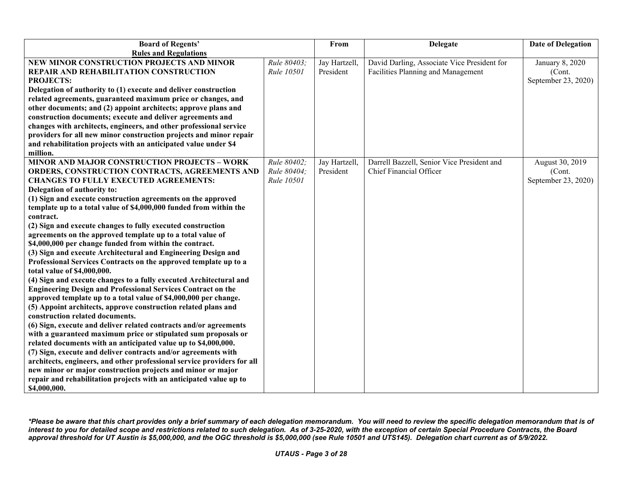| <b>Board of Regents'</b>                                                                                                                  |             | From          | <b>Delegate</b>                             | <b>Date of Delegation</b> |
|-------------------------------------------------------------------------------------------------------------------------------------------|-------------|---------------|---------------------------------------------|---------------------------|
| <b>Rules and Regulations</b>                                                                                                              |             |               |                                             |                           |
| NEW MINOR CONSTRUCTION PROJECTS AND MINOR                                                                                                 | Rule 80403; | Jay Hartzell, | David Darling, Associate Vice President for | January 8, 2020           |
| REPAIR AND REHABILITATION CONSTRUCTION                                                                                                    | Rule 10501  | President     | Facilities Planning and Management          | (Cont.                    |
| <b>PROJECTS:</b>                                                                                                                          |             |               |                                             | September 23, 2020)       |
| Delegation of authority to (1) execute and deliver construction                                                                           |             |               |                                             |                           |
| related agreements, guaranteed maximum price or changes, and                                                                              |             |               |                                             |                           |
| other documents; and (2) appoint architects; approve plans and                                                                            |             |               |                                             |                           |
| construction documents; execute and deliver agreements and                                                                                |             |               |                                             |                           |
| changes with architects, engineers, and other professional service                                                                        |             |               |                                             |                           |
| providers for all new minor construction projects and minor repair                                                                        |             |               |                                             |                           |
| and rehabilitation projects with an anticipated value under \$4                                                                           |             |               |                                             |                           |
| million.                                                                                                                                  |             |               |                                             |                           |
| <b>MINOR AND MAJOR CONSTRUCTION PROJECTS - WORK</b>                                                                                       | Rule 80402; | Jay Hartzell, | Darrell Bazzell, Senior Vice President and  | August 30, 2019           |
| ORDERS, CONSTRUCTION CONTRACTS, AGREEMENTS AND                                                                                            | Rule 80404; | President     | Chief Financial Officer                     | (Cont.                    |
| <b>CHANGES TO FULLY EXECUTED AGREEMENTS:</b>                                                                                              | Rule 10501  |               |                                             | September 23, 2020)       |
| Delegation of authority to:                                                                                                               |             |               |                                             |                           |
| (1) Sign and execute construction agreements on the approved                                                                              |             |               |                                             |                           |
| template up to a total value of \$4,000,000 funded from within the                                                                        |             |               |                                             |                           |
| contract.                                                                                                                                 |             |               |                                             |                           |
| (2) Sign and execute changes to fully executed construction                                                                               |             |               |                                             |                           |
| agreements on the approved template up to a total value of                                                                                |             |               |                                             |                           |
| \$4,000,000 per change funded from within the contract.                                                                                   |             |               |                                             |                           |
| (3) Sign and execute Architectural and Engineering Design and                                                                             |             |               |                                             |                           |
| Professional Services Contracts on the approved template up to a                                                                          |             |               |                                             |                           |
| total value of \$4,000,000.                                                                                                               |             |               |                                             |                           |
| (4) Sign and execute changes to a fully executed Architectural and<br><b>Engineering Design and Professional Services Contract on the</b> |             |               |                                             |                           |
| approved template up to a total value of \$4,000,000 per change.                                                                          |             |               |                                             |                           |
| (5) Appoint architects, approve construction related plans and                                                                            |             |               |                                             |                           |
| construction related documents.                                                                                                           |             |               |                                             |                           |
| (6) Sign, execute and deliver related contracts and/or agreements                                                                         |             |               |                                             |                           |
| with a guaranteed maximum price or stipulated sum proposals or                                                                            |             |               |                                             |                           |
| related documents with an anticipated value up to \$4,000,000.                                                                            |             |               |                                             |                           |
| (7) Sign, execute and deliver contracts and/or agreements with                                                                            |             |               |                                             |                           |
| architects, engineers, and other professional service providers for all                                                                   |             |               |                                             |                           |
| new minor or major construction projects and minor or major                                                                               |             |               |                                             |                           |
| repair and rehabilitation projects with an anticipated value up to                                                                        |             |               |                                             |                           |
| \$4,000,000.                                                                                                                              |             |               |                                             |                           |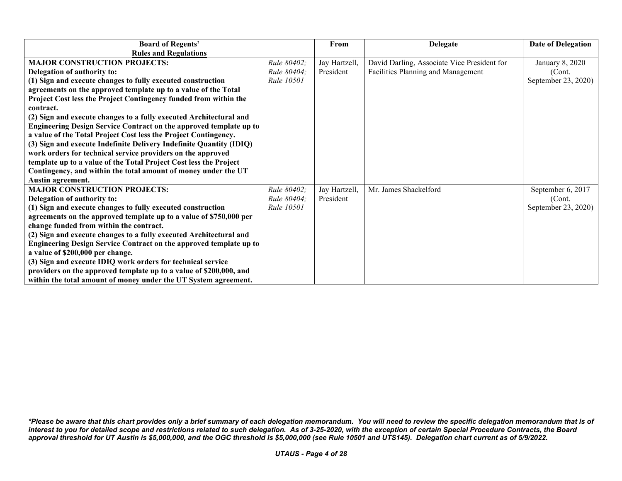| <b>Board of Regents'</b>                                            |                    | From          | <b>Delegate</b>                             | <b>Date of Delegation</b> |
|---------------------------------------------------------------------|--------------------|---------------|---------------------------------------------|---------------------------|
| <b>Rules and Regulations</b>                                        |                    |               |                                             |                           |
| <b>MAJOR CONSTRUCTION PROJECTS:</b>                                 | Rule 80402;        | Jay Hartzell, | David Darling, Associate Vice President for | January 8, 2020           |
| Delegation of authority to:                                         | <i>Rule 80404;</i> | President     | Facilities Planning and Management          | (Cont.                    |
| (1) Sign and execute changes to fully executed construction         | <b>Rule 10501</b>  |               |                                             | September 23, 2020)       |
| agreements on the approved template up to a value of the Total      |                    |               |                                             |                           |
| Project Cost less the Project Contingency funded from within the    |                    |               |                                             |                           |
| contract.                                                           |                    |               |                                             |                           |
| (2) Sign and execute changes to a fully executed Architectural and  |                    |               |                                             |                           |
| Engineering Design Service Contract on the approved template up to  |                    |               |                                             |                           |
| a value of the Total Project Cost less the Project Contingency.     |                    |               |                                             |                           |
| (3) Sign and execute Indefinite Delivery Indefinite Quantity (IDIQ) |                    |               |                                             |                           |
| work orders for technical service providers on the approved         |                    |               |                                             |                           |
| template up to a value of the Total Project Cost less the Project   |                    |               |                                             |                           |
| Contingency, and within the total amount of money under the UT      |                    |               |                                             |                           |
| Austin agreement.                                                   |                    |               |                                             |                           |
| <b>MAJOR CONSTRUCTION PROJECTS:</b>                                 | Rule 80402;        | Jay Hartzell, | Mr. James Shackelford                       | September 6, 2017         |
| Delegation of authority to:                                         | Rule 80404;        | President     |                                             | (Cont.                    |
| (1) Sign and execute changes to fully executed construction         | Rule 10501         |               |                                             | September 23, 2020)       |
| agreements on the approved template up to a value of \$750,000 per  |                    |               |                                             |                           |
| change funded from within the contract.                             |                    |               |                                             |                           |
| (2) Sign and execute changes to a fully executed Architectural and  |                    |               |                                             |                           |
| Engineering Design Service Contract on the approved template up to  |                    |               |                                             |                           |
| a value of \$200,000 per change.                                    |                    |               |                                             |                           |
| (3) Sign and execute IDIQ work orders for technical service         |                    |               |                                             |                           |
| providers on the approved template up to a value of \$200,000, and  |                    |               |                                             |                           |
| within the total amount of money under the UT System agreement.     |                    |               |                                             |                           |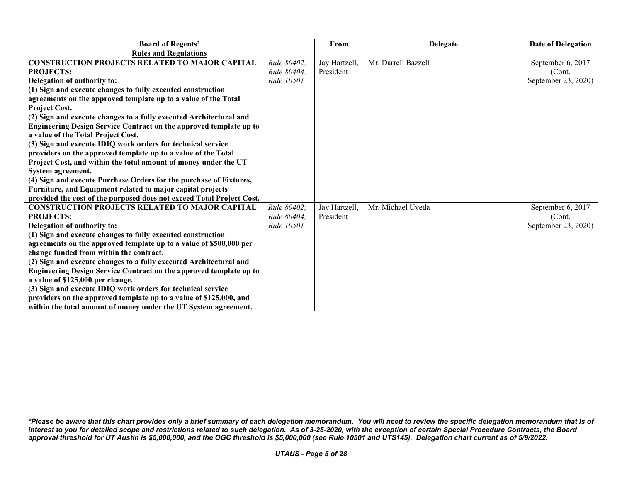| <b>Board of Regents'</b>                                                  |                    | From          | <b>Delegate</b>     | <b>Date of Delegation</b> |
|---------------------------------------------------------------------------|--------------------|---------------|---------------------|---------------------------|
| <b>Rules and Regulations</b>                                              |                    |               |                     |                           |
| <b>CONSTRUCTION PROJECTS RELATED TO MAJOR CAPITAL</b>                     | Rule 80402;        | Jay Hartzell, | Mr. Darrell Bazzell | September 6, 2017         |
| <b>PROJECTS:</b>                                                          | Rule 80404:        | President     |                     | (Cont.                    |
| Delegation of authority to:                                               | Rule 10501         |               |                     | September 23, 2020)       |
| (1) Sign and execute changes to fully executed construction               |                    |               |                     |                           |
| agreements on the approved template up to a value of the Total            |                    |               |                     |                           |
| <b>Project Cost.</b>                                                      |                    |               |                     |                           |
| (2) Sign and execute changes to a fully executed Architectural and        |                    |               |                     |                           |
| <b>Engineering Design Service Contract on the approved template up to</b> |                    |               |                     |                           |
| a value of the Total Project Cost.                                        |                    |               |                     |                           |
| (3) Sign and execute IDIQ work orders for technical service               |                    |               |                     |                           |
| providers on the approved template up to a value of the Total             |                    |               |                     |                           |
| Project Cost, and within the total amount of money under the UT           |                    |               |                     |                           |
| System agreement.                                                         |                    |               |                     |                           |
| (4) Sign and execute Purchase Orders for the purchase of Fixtures,        |                    |               |                     |                           |
| Furniture, and Equipment related to major capital projects                |                    |               |                     |                           |
| provided the cost of the purposed does not exceed Total Project Cost.     |                    |               |                     |                           |
| <b>CONSTRUCTION PROJECTS RELATED TO MAJOR CAPITAL</b>                     | Rule 80402:        | Jay Hartzell, | Mr. Michael Uyeda   | September 6, 2017         |
| <b>PROJECTS:</b>                                                          | <i>Rule 80404;</i> | President     |                     | (Cont.                    |
| Delegation of authority to:                                               | Rule 10501         |               |                     | September 23, 2020)       |
| (1) Sign and execute changes to fully executed construction               |                    |               |                     |                           |
| agreements on the approved template up to a value of \$500,000 per        |                    |               |                     |                           |
| change funded from within the contract.                                   |                    |               |                     |                           |
| (2) Sign and execute changes to a fully executed Architectural and        |                    |               |                     |                           |
| Engineering Design Service Contract on the approved template up to        |                    |               |                     |                           |
| a value of \$125,000 per change.                                          |                    |               |                     |                           |
| (3) Sign and execute IDIQ work orders for technical service               |                    |               |                     |                           |
| providers on the approved template up to a value of \$125,000, and        |                    |               |                     |                           |
| within the total amount of money under the UT System agreement.           |                    |               |                     |                           |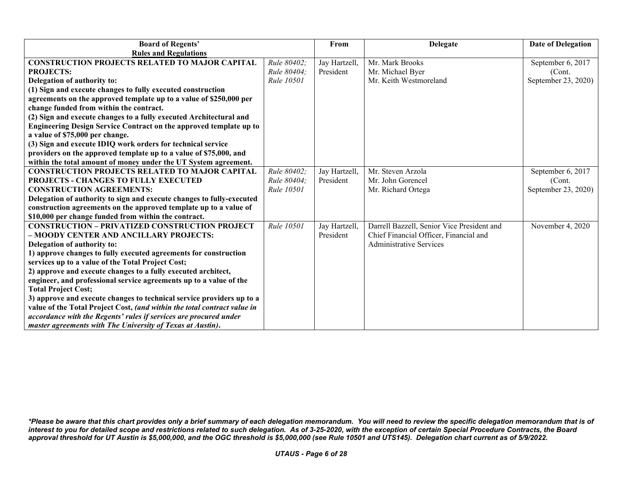| <b>Board of Regents'</b>                                                 |                   | From          | <b>Delegate</b>                            | <b>Date of Delegation</b> |
|--------------------------------------------------------------------------|-------------------|---------------|--------------------------------------------|---------------------------|
| <b>Rules and Regulations</b>                                             |                   |               |                                            |                           |
| <b>CONSTRUCTION PROJECTS RELATED TO MAJOR CAPITAL</b>                    | Rule 80402;       | Jay Hartzell, | Mr. Mark Brooks                            | September 6, 2017         |
| <b>PROJECTS:</b>                                                         | Rule 80404;       | President     | Mr. Michael Byer                           | (Cont.                    |
| Delegation of authority to:                                              | <b>Rule 10501</b> |               | Mr. Keith Westmoreland                     | September 23, 2020)       |
| (1) Sign and execute changes to fully executed construction              |                   |               |                                            |                           |
| agreements on the approved template up to a value of \$250,000 per       |                   |               |                                            |                           |
| change funded from within the contract.                                  |                   |               |                                            |                           |
| (2) Sign and execute changes to a fully executed Architectural and       |                   |               |                                            |                           |
| Engineering Design Service Contract on the approved template up to       |                   |               |                                            |                           |
| a value of \$75,000 per change.                                          |                   |               |                                            |                           |
| (3) Sign and execute IDIQ work orders for technical service              |                   |               |                                            |                           |
| providers on the approved template up to a value of \$75,000, and        |                   |               |                                            |                           |
| within the total amount of money under the UT System agreement.          |                   |               |                                            |                           |
| <b>CONSTRUCTION PROJECTS RELATED TO MAJOR CAPITAL</b>                    | Rule 80402;       | Jay Hartzell, | Mr. Steven Arzola                          | September 6, 2017         |
| <b>PROJECTS - CHANGES TO FULLY EXECUTED</b>                              | Rule 80404:       | President     | Mr. John Gorencel                          | (Cont.                    |
| <b>CONSTRUCTION AGREEMENTS:</b>                                          | Rule 10501        |               | Mr. Richard Ortega                         | September 23, 2020)       |
| Delegation of authority to sign and execute changes to fully-executed    |                   |               |                                            |                           |
| construction agreements on the approved template up to a value of        |                   |               |                                            |                           |
| \$10,000 per change funded from within the contract.                     |                   |               |                                            |                           |
| <b>CONSTRUCTION - PRIVATIZED CONSTRUCTION PROJECT</b>                    | Rule 10501        | Jay Hartzell, | Darrell Bazzell, Senior Vice President and | November 4, 2020          |
| - MOODY CENTER AND ANCILLARY PROJECTS:                                   |                   | President     | Chief Financial Officer, Financial and     |                           |
| Delegation of authority to:                                              |                   |               | <b>Administrative Services</b>             |                           |
| 1) approve changes to fully executed agreements for construction         |                   |               |                                            |                           |
| services up to a value of the Total Project Cost;                        |                   |               |                                            |                           |
| 2) approve and execute changes to a fully executed architect,            |                   |               |                                            |                           |
| engineer, and professional service agreements up to a value of the       |                   |               |                                            |                           |
| <b>Total Project Cost;</b>                                               |                   |               |                                            |                           |
| 3) approve and execute changes to technical service providers up to a    |                   |               |                                            |                           |
| value of the Total Project Cost, (and within the total contract value in |                   |               |                                            |                           |
| accordance with the Regents' rules if services are procured under        |                   |               |                                            |                           |
| master agreements with The University of Texas at Austin).               |                   |               |                                            |                           |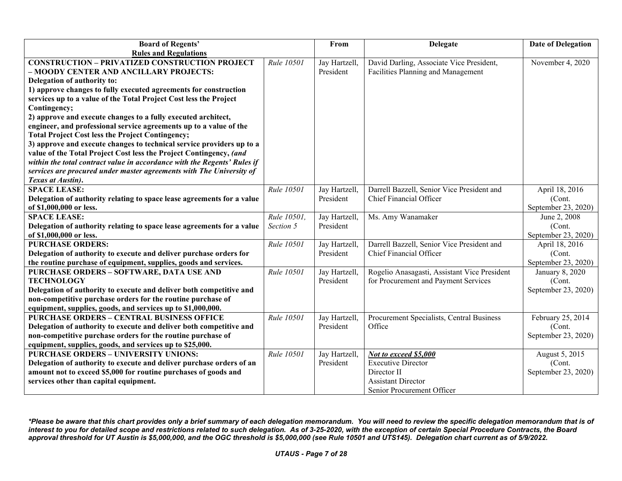| <b>Board of Regents'</b>                                                 |             | From          | <b>Delegate</b>                              | <b>Date of Delegation</b> |
|--------------------------------------------------------------------------|-------------|---------------|----------------------------------------------|---------------------------|
| <b>Rules and Regulations</b>                                             |             |               |                                              |                           |
| <b>CONSTRUCTION - PRIVATIZED CONSTRUCTION PROJECT</b>                    | Rule 10501  | Jay Hartzell, | David Darling, Associate Vice President,     | November 4, 2020          |
| - MOODY CENTER AND ANCILLARY PROJECTS:                                   |             | President     | Facilities Planning and Management           |                           |
| Delegation of authority to:                                              |             |               |                                              |                           |
| 1) approve changes to fully executed agreements for construction         |             |               |                                              |                           |
| services up to a value of the Total Project Cost less the Project        |             |               |                                              |                           |
| Contingency;                                                             |             |               |                                              |                           |
| 2) approve and execute changes to a fully executed architect,            |             |               |                                              |                           |
| engineer, and professional service agreements up to a value of the       |             |               |                                              |                           |
| <b>Total Project Cost less the Project Contingency;</b>                  |             |               |                                              |                           |
| 3) approve and execute changes to technical service providers up to a    |             |               |                                              |                           |
| value of the Total Project Cost less the Project Contingency, (and       |             |               |                                              |                           |
| within the total contract value in accordance with the Regents' Rules if |             |               |                                              |                           |
| services are procured under master agreements with The University of     |             |               |                                              |                           |
| Texas at Austin).                                                        |             |               |                                              |                           |
| <b>SPACE LEASE:</b>                                                      | Rule 10501  | Jay Hartzell, | Darrell Bazzell, Senior Vice President and   | April 18, 2016            |
| Delegation of authority relating to space lease agreements for a value   |             | President     | Chief Financial Officer                      | (Cont.                    |
| of \$1,000,000 or less.                                                  |             |               |                                              | September 23, 2020)       |
| <b>SPACE LEASE:</b>                                                      | Rule 10501, | Jay Hartzell, | Ms. Amy Wanamaker                            | June 2, 2008              |
| Delegation of authority relating to space lease agreements for a value   | Section 5   | President     |                                              | (Cont.                    |
| of \$1,000,000 or less.                                                  |             |               |                                              | September 23, 2020)       |
| <b>PURCHASE ORDERS:</b>                                                  | Rule 10501  | Jay Hartzell, | Darrell Bazzell, Senior Vice President and   | April 18, 2016            |
| Delegation of authority to execute and deliver purchase orders for       |             | President     | Chief Financial Officer                      | (Cont.                    |
| the routine purchase of equipment, supplies, goods and services.         |             |               |                                              | September 23, 2020)       |
| <b>PURCHASE ORDERS - SOFTWARE, DATA USE AND</b>                          | Rule 10501  | Jay Hartzell, | Rogelio Anasagasti, Assistant Vice President | <b>January 8, 2020</b>    |
| <b>TECHNOLOGY</b>                                                        |             | President     | for Procurement and Payment Services         | (Cont.                    |
| Delegation of authority to execute and deliver both competitive and      |             |               |                                              | September 23, 2020)       |
| non-competitive purchase orders for the routine purchase of              |             |               |                                              |                           |
| equipment, supplies, goods, and services up to \$1,000,000.              |             |               |                                              |                           |
| <b>PURCHASE ORDERS - CENTRAL BUSINESS OFFICE</b>                         | Rule 10501  | Jay Hartzell, | Procurement Specialists, Central Business    | February 25, 2014         |
| Delegation of authority to execute and deliver both competitive and      |             | President     | Office                                       | (Cont.                    |
| non-competitive purchase orders for the routine purchase of              |             |               |                                              | September 23, 2020)       |
| equipment, supplies, goods, and services up to \$25,000.                 |             |               |                                              |                           |
| <b>PURCHASE ORDERS - UNIVERSITY UNIONS:</b>                              | Rule 10501  | Jay Hartzell, | Not to exceed \$5,000                        | August 5, 2015            |
| Delegation of authority to execute and deliver purchase orders of an     |             | President     | <b>Executive Director</b>                    | (Cont.                    |
| amount not to exceed \$5,000 for routine purchases of goods and          |             |               | Director II<br><b>Assistant Director</b>     | September 23, 2020)       |
| services other than capital equipment.                                   |             |               |                                              |                           |
|                                                                          |             |               | Senior Procurement Officer                   |                           |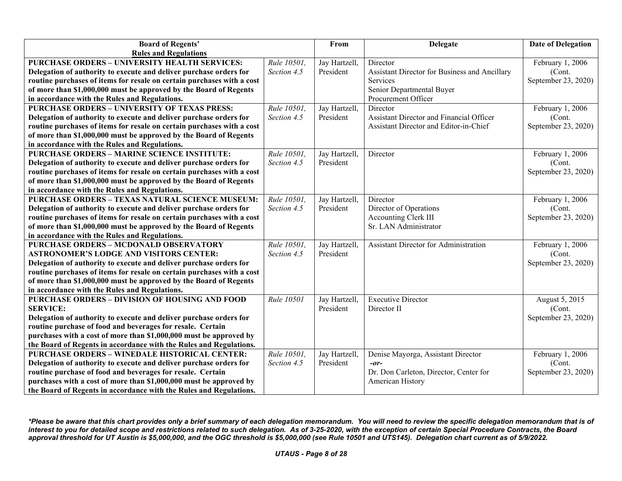| <b>Board of Regents'</b>                                               |             | From          | <b>Delegate</b>                               | <b>Date of Delegation</b> |
|------------------------------------------------------------------------|-------------|---------------|-----------------------------------------------|---------------------------|
| <b>Rules and Regulations</b>                                           |             |               |                                               |                           |
| <b>PURCHASE ORDERS - UNIVERSITY HEALTH SERVICES:</b>                   | Rule 10501, | Jay Hartzell, | Director                                      | February 1, 2006          |
| Delegation of authority to execute and deliver purchase orders for     | Section 4.5 | President     | Assistant Director for Business and Ancillary | (Cont.                    |
| routine purchases of items for resale on certain purchases with a cost |             |               | Services                                      | September 23, 2020)       |
| of more than \$1,000,000 must be approved by the Board of Regents      |             |               | Senior Departmental Buyer                     |                           |
| in accordance with the Rules and Regulations.                          |             |               | Procurement Officer                           |                           |
| <b>PURCHASE ORDERS - UNIVERSITY OF TEXAS PRESS:</b>                    | Rule 10501, | Jay Hartzell, | Director                                      | February 1, 2006          |
| Delegation of authority to execute and deliver purchase orders for     | Section 4.5 | President     | Assistant Director and Financial Officer      | (Cont.                    |
| routine purchases of items for resale on certain purchases with a cost |             |               | Assistant Director and Editor-in-Chief        | September 23, 2020)       |
| of more than \$1,000,000 must be approved by the Board of Regents      |             |               |                                               |                           |
| in accordance with the Rules and Regulations.                          |             |               |                                               |                           |
| <b>PURCHASE ORDERS - MARINE SCIENCE INSTITUTE:</b>                     | Rule 10501, | Jay Hartzell, | Director                                      | February 1, 2006          |
| Delegation of authority to execute and deliver purchase orders for     | Section 4.5 | President     |                                               | (Cont.                    |
| routine purchases of items for resale on certain purchases with a cost |             |               |                                               | September 23, 2020)       |
| of more than \$1,000,000 must be approved by the Board of Regents      |             |               |                                               |                           |
| in accordance with the Rules and Regulations.                          |             |               |                                               |                           |
| <b>PURCHASE ORDERS - TEXAS NATURAL SCIENCE MUSEUM:</b>                 | Rule 10501, | Jay Hartzell, | Director                                      | February 1, 2006          |
| Delegation of authority to execute and deliver purchase orders for     | Section 4.5 | President     | Director of Operations                        | (Cont.                    |
| routine purchases of items for resale on certain purchases with a cost |             |               | <b>Accounting Clerk III</b>                   | September 23, 2020)       |
| of more than \$1,000,000 must be approved by the Board of Regents      |             |               | Sr. LAN Administrator                         |                           |
| in accordance with the Rules and Regulations.                          |             |               |                                               |                           |
| <b>PURCHASE ORDERS - MCDONALD OBSERVATORY</b>                          | Rule 10501, | Jay Hartzell, | <b>Assistant Director for Administration</b>  | February 1, 2006          |
| <b>ASTRONOMER'S LODGE AND VISITORS CENTER:</b>                         | Section 4.5 | President     |                                               | (Cont.                    |
| Delegation of authority to execute and deliver purchase orders for     |             |               |                                               | September 23, 2020)       |
| routine purchases of items for resale on certain purchases with a cost |             |               |                                               |                           |
| of more than \$1,000,000 must be approved by the Board of Regents      |             |               |                                               |                           |
| in accordance with the Rules and Regulations.                          |             |               |                                               |                           |
| PURCHASE ORDERS - DIVISION OF HOUSING AND FOOD                         | Rule 10501  | Jay Hartzell, | <b>Executive Director</b>                     | August 5, 2015            |
| <b>SERVICE:</b>                                                        |             | President     | Director II                                   | (Cont.                    |
| Delegation of authority to execute and deliver purchase orders for     |             |               |                                               | September 23, 2020)       |
| routine purchase of food and beverages for resale. Certain             |             |               |                                               |                           |
| purchases with a cost of more than \$1,000,000 must be approved by     |             |               |                                               |                           |
| the Board of Regents in accordance with the Rules and Regulations.     |             |               |                                               |                           |
| <b>PURCHASE ORDERS - WINEDALE HISTORICAL CENTER:</b>                   | Rule 10501, | Jay Hartzell, | Denise Mayorga, Assistant Director            | February 1, 2006          |
| Delegation of authority to execute and deliver purchase orders for     | Section 4.5 | President     | $-0r-$                                        | (Cont.                    |
| routine purchase of food and beverages for resale. Certain             |             |               | Dr. Don Carleton, Director, Center for        | September 23, 2020)       |
| purchases with a cost of more than \$1,000,000 must be approved by     |             |               | American History                              |                           |
| the Board of Regents in accordance with the Rules and Regulations.     |             |               |                                               |                           |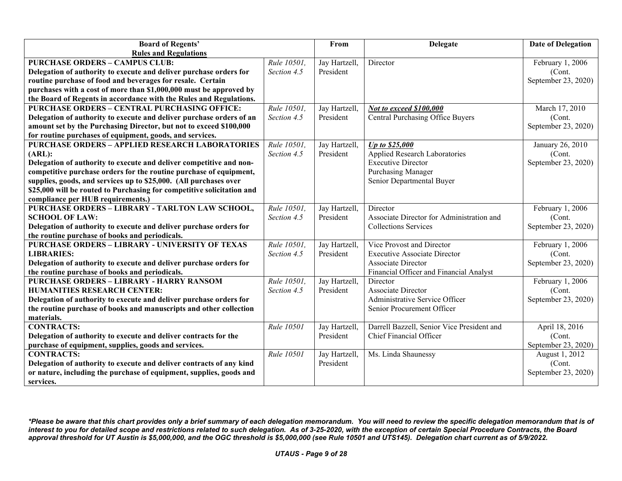| <b>Board of Regents'</b>                                               |             | From          | <b>Delegate</b>                            | <b>Date of Delegation</b> |
|------------------------------------------------------------------------|-------------|---------------|--------------------------------------------|---------------------------|
| <b>Rules and Regulations</b>                                           |             |               |                                            |                           |
| <b>PURCHASE ORDERS - CAMPUS CLUB:</b>                                  | Rule 10501, | Jay Hartzell, | Director                                   | February 1, 2006          |
| Delegation of authority to execute and deliver purchase orders for     | Section 4.5 | President     |                                            | (Cont.                    |
| routine purchase of food and beverages for resale. Certain             |             |               |                                            | September 23, 2020)       |
| purchases with a cost of more than \$1,000,000 must be approved by     |             |               |                                            |                           |
| the Board of Regents in accordance with the Rules and Regulations.     |             |               |                                            |                           |
| <b>PURCHASE ORDERS - CENTRAL PURCHASING OFFICE:</b>                    | Rule 10501, | Jay Hartzell, | Not to exceed \$100,000                    | March 17, 2010            |
| Delegation of authority to execute and deliver purchase orders of an   | Section 4.5 | President     | Central Purchasing Office Buyers           | (Cont.                    |
| amount set by the Purchasing Director, but not to exceed \$100,000     |             |               |                                            | September 23, 2020)       |
| for routine purchases of equipment, goods, and services.               |             |               |                                            |                           |
| <b>PURCHASE ORDERS - APPLIED RESEARCH LABORATORIES</b>                 | Rule 10501, | Jay Hartzell, | Up to \$25,000                             | January 26, 2010          |
| (ARL):                                                                 | Section 4.5 | President     | Applied Research Laboratories              | (Cont.                    |
| Delegation of authority to execute and deliver competitive and non-    |             |               | <b>Executive Director</b>                  | September 23, 2020)       |
| competitive purchase orders for the routine purchase of equipment,     |             |               | Purchasing Manager                         |                           |
| supplies, goods, and services up to \$25,000. (All purchases over      |             |               | Senior Departmental Buyer                  |                           |
| \$25,000 will be routed to Purchasing for competitive solicitation and |             |               |                                            |                           |
| compliance per HUB requirements.)                                      |             |               |                                            |                           |
| PURCHASE ORDERS - LIBRARY - TARLTON LAW SCHOOL,                        | Rule 10501, | Jay Hartzell, | Director                                   | February 1, 2006          |
| <b>SCHOOL OF LAW:</b>                                                  | Section 4.5 | President     | Associate Director for Administration and  | (Cont.                    |
| Delegation of authority to execute and deliver purchase orders for     |             |               | <b>Collections Services</b>                | September 23, 2020)       |
| the routine purchase of books and periodicals.                         |             |               |                                            |                           |
| <b>PURCHASE ORDERS - LIBRARY - UNIVERSITY OF TEXAS</b>                 | Rule 10501, | Jay Hartzell, | Vice Provost and Director                  | February 1, 2006          |
| <b>LIBRARIES:</b>                                                      | Section 4.5 | President     | <b>Executive Associate Director</b>        | (Cont.                    |
| Delegation of authority to execute and deliver purchase orders for     |             |               | Associate Director                         | September 23, 2020)       |
| the routine purchase of books and periodicals.                         |             |               | Financial Officer and Financial Analyst    |                           |
| <b>PURCHASE ORDERS - LIBRARY - HARRY RANSOM</b>                        | Rule 10501, | Jay Hartzell, | Director                                   | February 1, 2006          |
| <b>HUMANITIES RESEARCH CENTER:</b>                                     | Section 4.5 | President     | <b>Associate Director</b>                  | (Cont.                    |
| Delegation of authority to execute and deliver purchase orders for     |             |               | Administrative Service Officer             | September 23, 2020)       |
| the routine purchase of books and manuscripts and other collection     |             |               | Senior Procurement Officer                 |                           |
| materials.                                                             |             |               |                                            |                           |
| <b>CONTRACTS:</b>                                                      | Rule 10501  | Jay Hartzell, | Darrell Bazzell, Senior Vice President and | April 18, 2016            |
| Delegation of authority to execute and deliver contracts for the       |             | President     | <b>Chief Financial Officer</b>             | (Cont.                    |
| purchase of equipment, supplies, goods and services.                   |             |               |                                            | September 23, 2020)       |
| <b>CONTRACTS:</b>                                                      | Rule 10501  | Jay Hartzell, | Ms. Linda Shaunessy                        | August 1, 2012            |
| Delegation of authority to execute and deliver contracts of any kind   |             | President     |                                            | (Cont.                    |
| or nature, including the purchase of equipment, supplies, goods and    |             |               |                                            | September 23, 2020)       |
| services.                                                              |             |               |                                            |                           |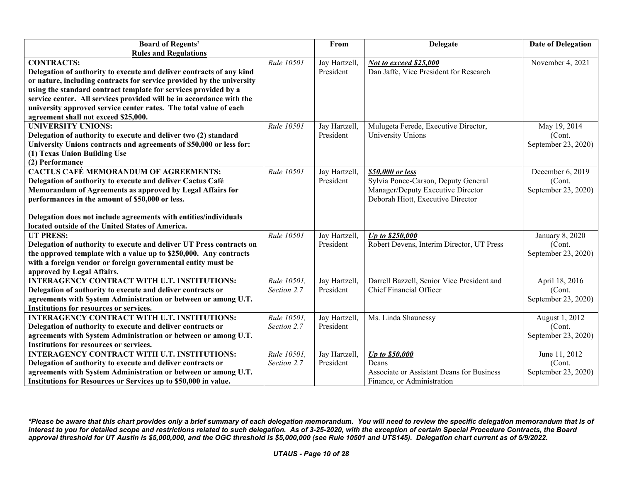| <b>Board of Regents'</b>                                                                   |             | From          | <b>Delegate</b>                            | <b>Date of Delegation</b> |
|--------------------------------------------------------------------------------------------|-------------|---------------|--------------------------------------------|---------------------------|
| <b>Rules and Regulations</b>                                                               |             |               |                                            |                           |
| <b>CONTRACTS:</b>                                                                          | Rule 10501  | Jay Hartzell, | Not to exceed \$25,000                     | November 4, 2021          |
| Delegation of authority to execute and deliver contracts of any kind                       |             | President     | Dan Jaffe, Vice President for Research     |                           |
| or nature, including contracts for service provided by the university                      |             |               |                                            |                           |
| using the standard contract template for services provided by a                            |             |               |                                            |                           |
| service center. All services provided will be in accordance with the                       |             |               |                                            |                           |
| university approved service center rates. The total value of each                          |             |               |                                            |                           |
| agreement shall not exceed \$25,000.                                                       |             |               |                                            |                           |
| <b>UNIVERSITY UNIONS:</b>                                                                  | Rule 10501  | Jay Hartzell, | Mulugeta Ferede, Executive Director,       | May 19, 2014              |
| Delegation of authority to execute and deliver two (2) standard                            |             | President     | University Unions                          | (Cont.                    |
| University Unions contracts and agreements of \$50,000 or less for:                        |             |               |                                            | September 23, 2020)       |
| (1) Texas Union Building Use                                                               |             |               |                                            |                           |
| (2) Performance                                                                            |             |               |                                            |                           |
| <b>CACTUS CAFÉ MEMORANDUM OF AGREEMENTS:</b>                                               | Rule 10501  | Jay Hartzell, | \$50,000 or less                           | December 6, 2019          |
| Delegation of authority to execute and deliver Cactus Café                                 |             | President     | Sylvia Ponce-Carson, Deputy General        | (Cont.                    |
| Memorandum of Agreements as approved by Legal Affairs for                                  |             |               | Manager/Deputy Executive Director          | September 23, 2020)       |
| performances in the amount of \$50,000 or less.                                            |             |               | Deborah Hiott, Executive Director          |                           |
|                                                                                            |             |               |                                            |                           |
| Delegation does not include agreements with entities/individuals                           |             |               |                                            |                           |
| located outside of the United States of America.                                           |             |               |                                            |                           |
| <b>UT PRESS:</b>                                                                           | Rule 10501  | Jay Hartzell, | Up to \$250,000                            | January 8, 2020           |
| Delegation of authority to execute and deliver UT Press contracts on                       |             | President     | Robert Devens, Interim Director, UT Press  | (Cont.                    |
| the approved template with a value up to \$250,000. Any contracts                          |             |               |                                            | September 23, 2020)       |
| with a foreign vendor or foreign governmental entity must be<br>approved by Legal Affairs. |             |               |                                            |                           |
| <b>INTERAGENCY CONTRACT WITH U.T. INSTITUTIONS:</b>                                        | Rule 10501, | Jay Hartzell, | Darrell Bazzell, Senior Vice President and | April 18, 2016            |
| Delegation of authority to execute and deliver contracts or                                | Section 2.7 | President     | Chief Financial Officer                    | (Cont.                    |
| agreements with System Administration or between or among U.T.                             |             |               |                                            | September 23, 2020)       |
| Institutions for resources or services.                                                    |             |               |                                            |                           |
| <b>INTERAGENCY CONTRACT WITH U.T. INSTITUTIONS:</b>                                        | Rule 10501, | Jay Hartzell, | Ms. Linda Shaunessy                        | August 1, 2012            |
| Delegation of authority to execute and deliver contracts or                                | Section 2.7 | President     |                                            | (Cont.                    |
| agreements with System Administration or between or among U.T.                             |             |               |                                            | September 23, 2020)       |
| Institutions for resources or services.                                                    |             |               |                                            |                           |
| <b>INTERAGENCY CONTRACT WITH U.T. INSTITUTIONS:</b>                                        | Rule 10501, | Jay Hartzell, | <b>Up to \$50,000</b>                      | June 11, 2012             |
| Delegation of authority to execute and deliver contracts or                                | Section 2.7 | President     | Deans                                      | (Cont.                    |
| agreements with System Administration or between or among U.T.                             |             |               | Associate or Assistant Deans for Business  | September 23, 2020)       |
| Institutions for Resources or Services up to \$50,000 in value.                            |             |               | Finance, or Administration                 |                           |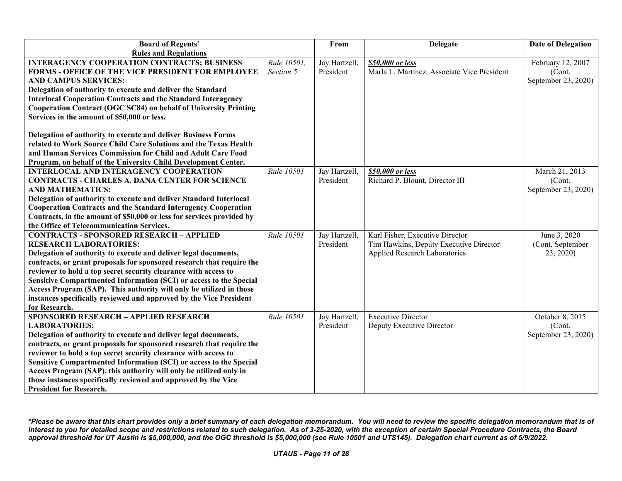| <b>Rules and Regulations</b><br><b>INTERAGENCY COOPERATION CONTRACTS; BUSINESS</b><br>Rule 10501,<br>Jay Hartzell,<br>\$50,000 or less<br>February 12, 2007<br>President<br>Marla L. Martinez, Associate Vice President<br>FORMS - OFFICE OF THE VICE PRESIDENT FOR EMPLOYEE<br>Section 5<br>(Cont.<br><b>AND CAMPUS SERVICES:</b><br>September 23, 2020)<br>Delegation of authority to execute and deliver the Standard<br><b>Interlocal Cooperation Contracts and the Standard Interagency</b><br>Cooperation Contract (OGC SC84) on behalf of University Printing<br>Services in the amount of \$50,000 or less.<br>Delegation of authority to execute and deliver Business Forms<br>related to Work Source Child Care Solutions and the Texas Health<br>and Human Services Commission for Child and Adult Care Food<br>Program, on behalf of the University Child Development Center.<br>Rule 10501<br>Jay Hartzell,<br>March 21, 2013<br><b>INTERLOCAL AND INTERAGENCY COOPERATION</b><br>\$50,000 or less |
|-----------------------------------------------------------------------------------------------------------------------------------------------------------------------------------------------------------------------------------------------------------------------------------------------------------------------------------------------------------------------------------------------------------------------------------------------------------------------------------------------------------------------------------------------------------------------------------------------------------------------------------------------------------------------------------------------------------------------------------------------------------------------------------------------------------------------------------------------------------------------------------------------------------------------------------------------------------------------------------------------------------------|
|                                                                                                                                                                                                                                                                                                                                                                                                                                                                                                                                                                                                                                                                                                                                                                                                                                                                                                                                                                                                                 |
|                                                                                                                                                                                                                                                                                                                                                                                                                                                                                                                                                                                                                                                                                                                                                                                                                                                                                                                                                                                                                 |
|                                                                                                                                                                                                                                                                                                                                                                                                                                                                                                                                                                                                                                                                                                                                                                                                                                                                                                                                                                                                                 |
|                                                                                                                                                                                                                                                                                                                                                                                                                                                                                                                                                                                                                                                                                                                                                                                                                                                                                                                                                                                                                 |
|                                                                                                                                                                                                                                                                                                                                                                                                                                                                                                                                                                                                                                                                                                                                                                                                                                                                                                                                                                                                                 |
|                                                                                                                                                                                                                                                                                                                                                                                                                                                                                                                                                                                                                                                                                                                                                                                                                                                                                                                                                                                                                 |
|                                                                                                                                                                                                                                                                                                                                                                                                                                                                                                                                                                                                                                                                                                                                                                                                                                                                                                                                                                                                                 |
|                                                                                                                                                                                                                                                                                                                                                                                                                                                                                                                                                                                                                                                                                                                                                                                                                                                                                                                                                                                                                 |
|                                                                                                                                                                                                                                                                                                                                                                                                                                                                                                                                                                                                                                                                                                                                                                                                                                                                                                                                                                                                                 |
|                                                                                                                                                                                                                                                                                                                                                                                                                                                                                                                                                                                                                                                                                                                                                                                                                                                                                                                                                                                                                 |
|                                                                                                                                                                                                                                                                                                                                                                                                                                                                                                                                                                                                                                                                                                                                                                                                                                                                                                                                                                                                                 |
|                                                                                                                                                                                                                                                                                                                                                                                                                                                                                                                                                                                                                                                                                                                                                                                                                                                                                                                                                                                                                 |
|                                                                                                                                                                                                                                                                                                                                                                                                                                                                                                                                                                                                                                                                                                                                                                                                                                                                                                                                                                                                                 |
| President<br>Richard P. Blount, Director III<br><b>CONTRACTS - CHARLES A. DANA CENTER FOR SCIENCE</b><br>(Cont.                                                                                                                                                                                                                                                                                                                                                                                                                                                                                                                                                                                                                                                                                                                                                                                                                                                                                                 |
| September 23, 2020)<br><b>AND MATHEMATICS:</b>                                                                                                                                                                                                                                                                                                                                                                                                                                                                                                                                                                                                                                                                                                                                                                                                                                                                                                                                                                  |
| Delegation of authority to execute and deliver Standard Interlocal                                                                                                                                                                                                                                                                                                                                                                                                                                                                                                                                                                                                                                                                                                                                                                                                                                                                                                                                              |
| <b>Cooperation Contracts and the Standard Interagency Cooperation</b>                                                                                                                                                                                                                                                                                                                                                                                                                                                                                                                                                                                                                                                                                                                                                                                                                                                                                                                                           |
| Contracts, in the amount of \$50,000 or less for services provided by                                                                                                                                                                                                                                                                                                                                                                                                                                                                                                                                                                                                                                                                                                                                                                                                                                                                                                                                           |
| the Office of Telecommunication Services.                                                                                                                                                                                                                                                                                                                                                                                                                                                                                                                                                                                                                                                                                                                                                                                                                                                                                                                                                                       |
| <b>CONTRACTS - SPONSORED RESEARCH - APPLIED</b><br>Rule 10501<br>Karl Fisher, Executive Director<br>June 3, 2020<br>Jay Hartzell,                                                                                                                                                                                                                                                                                                                                                                                                                                                                                                                                                                                                                                                                                                                                                                                                                                                                               |
| <b>RESEARCH LABORATORIES:</b><br>President<br>Tim Hawkins, Deputy Executive Director<br>(Cont. September                                                                                                                                                                                                                                                                                                                                                                                                                                                                                                                                                                                                                                                                                                                                                                                                                                                                                                        |
| Applied Research Laboratories<br>Delegation of authority to execute and deliver legal documents,<br>23, 2020)                                                                                                                                                                                                                                                                                                                                                                                                                                                                                                                                                                                                                                                                                                                                                                                                                                                                                                   |
| contracts, or grant proposals for sponsored research that require the                                                                                                                                                                                                                                                                                                                                                                                                                                                                                                                                                                                                                                                                                                                                                                                                                                                                                                                                           |
| reviewer to hold a top secret security clearance with access to                                                                                                                                                                                                                                                                                                                                                                                                                                                                                                                                                                                                                                                                                                                                                                                                                                                                                                                                                 |
| Sensitive Compartmented Information (SCI) or access to the Special                                                                                                                                                                                                                                                                                                                                                                                                                                                                                                                                                                                                                                                                                                                                                                                                                                                                                                                                              |
| Access Program (SAP). This authority will only be utilized in those                                                                                                                                                                                                                                                                                                                                                                                                                                                                                                                                                                                                                                                                                                                                                                                                                                                                                                                                             |
| instances specifically reviewed and approved by the Vice President                                                                                                                                                                                                                                                                                                                                                                                                                                                                                                                                                                                                                                                                                                                                                                                                                                                                                                                                              |
| for Research.                                                                                                                                                                                                                                                                                                                                                                                                                                                                                                                                                                                                                                                                                                                                                                                                                                                                                                                                                                                                   |
| <b>SPONSORED RESEARCH - APPLIED RESEARCH</b><br>Rule 10501<br><b>Executive Director</b><br>October 8, 2015<br>Jay Hartzell,                                                                                                                                                                                                                                                                                                                                                                                                                                                                                                                                                                                                                                                                                                                                                                                                                                                                                     |
| <b>LABORATORIES:</b><br>President<br>Deputy Executive Director<br>(Cont.                                                                                                                                                                                                                                                                                                                                                                                                                                                                                                                                                                                                                                                                                                                                                                                                                                                                                                                                        |
| Delegation of authority to execute and deliver legal documents,<br>September 23, 2020)                                                                                                                                                                                                                                                                                                                                                                                                                                                                                                                                                                                                                                                                                                                                                                                                                                                                                                                          |
| contracts, or grant proposals for sponsored research that require the                                                                                                                                                                                                                                                                                                                                                                                                                                                                                                                                                                                                                                                                                                                                                                                                                                                                                                                                           |
| reviewer to hold a top secret security clearance with access to                                                                                                                                                                                                                                                                                                                                                                                                                                                                                                                                                                                                                                                                                                                                                                                                                                                                                                                                                 |
| Sensitive Compartmented Information (SCI) or access to the Special                                                                                                                                                                                                                                                                                                                                                                                                                                                                                                                                                                                                                                                                                                                                                                                                                                                                                                                                              |
| Access Program (SAP), this authority will only be utilized only in<br>those instances specifically reviewed and approved by the Vice                                                                                                                                                                                                                                                                                                                                                                                                                                                                                                                                                                                                                                                                                                                                                                                                                                                                            |
| <b>President for Research.</b>                                                                                                                                                                                                                                                                                                                                                                                                                                                                                                                                                                                                                                                                                                                                                                                                                                                                                                                                                                                  |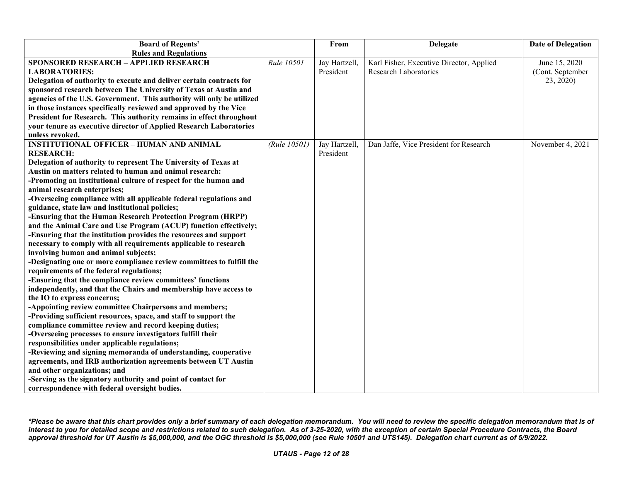| <b>Board of Regents'</b>                                                              |              | From          | <b>Delegate</b>                          | <b>Date of Delegation</b> |
|---------------------------------------------------------------------------------------|--------------|---------------|------------------------------------------|---------------------------|
| <b>Rules and Regulations</b>                                                          |              |               |                                          |                           |
| <b>SPONSORED RESEARCH - APPLIED RESEARCH</b>                                          | Rule 10501   | Jay Hartzell, | Karl Fisher, Executive Director, Applied | June 15, 2020             |
| <b>LABORATORIES:</b>                                                                  |              | President     | Research Laboratories                    | (Cont. September          |
| Delegation of authority to execute and deliver certain contracts for                  |              |               |                                          | 23, 2020)                 |
| sponsored research between The University of Texas at Austin and                      |              |               |                                          |                           |
| agencies of the U.S. Government. This authority will only be utilized                 |              |               |                                          |                           |
| in those instances specifically reviewed and approved by the Vice                     |              |               |                                          |                           |
| President for Research. This authority remains in effect throughout                   |              |               |                                          |                           |
| your tenure as executive director of Applied Research Laboratories                    |              |               |                                          |                           |
| unless revoked.                                                                       |              |               |                                          |                           |
| <b>INSTITUTIONAL OFFICER - HUMAN AND ANIMAL</b>                                       | (Rule 10501) | Jay Hartzell, | Dan Jaffe, Vice President for Research   | November 4, 2021          |
| <b>RESEARCH:</b>                                                                      |              | President     |                                          |                           |
| Delegation of authority to represent The University of Texas at                       |              |               |                                          |                           |
| Austin on matters related to human and animal research:                               |              |               |                                          |                           |
| -Promoting an institutional culture of respect for the human and                      |              |               |                                          |                           |
| animal research enterprises;                                                          |              |               |                                          |                           |
| -Overseeing compliance with all applicable federal regulations and                    |              |               |                                          |                           |
| guidance, state law and institutional policies;                                       |              |               |                                          |                           |
| -Ensuring that the Human Research Protection Program (HRPP)                           |              |               |                                          |                           |
| and the Animal Care and Use Program (ACUP) function effectively;                      |              |               |                                          |                           |
| -Ensuring that the institution provides the resources and support                     |              |               |                                          |                           |
| necessary to comply with all requirements applicable to research                      |              |               |                                          |                           |
| involving human and animal subjects;                                                  |              |               |                                          |                           |
| -Designating one or more compliance review committees to fulfill the                  |              |               |                                          |                           |
| requirements of the federal regulations;                                              |              |               |                                          |                           |
| -Ensuring that the compliance review committees' functions                            |              |               |                                          |                           |
| independently, and that the Chairs and membership have access to                      |              |               |                                          |                           |
| the IO to express concerns;<br>-Appointing review committee Chairpersons and members; |              |               |                                          |                           |
| -Providing sufficient resources, space, and staff to support the                      |              |               |                                          |                           |
| compliance committee review and record keeping duties;                                |              |               |                                          |                           |
| -Overseeing processes to ensure investigators fulfill their                           |              |               |                                          |                           |
| responsibilities under applicable regulations;                                        |              |               |                                          |                           |
| -Reviewing and signing memoranda of understanding, cooperative                        |              |               |                                          |                           |
| agreements, and IRB authorization agreements between UT Austin                        |              |               |                                          |                           |
| and other organizations; and                                                          |              |               |                                          |                           |
| -Serving as the signatory authority and point of contact for                          |              |               |                                          |                           |
| correspondence with federal oversight bodies.                                         |              |               |                                          |                           |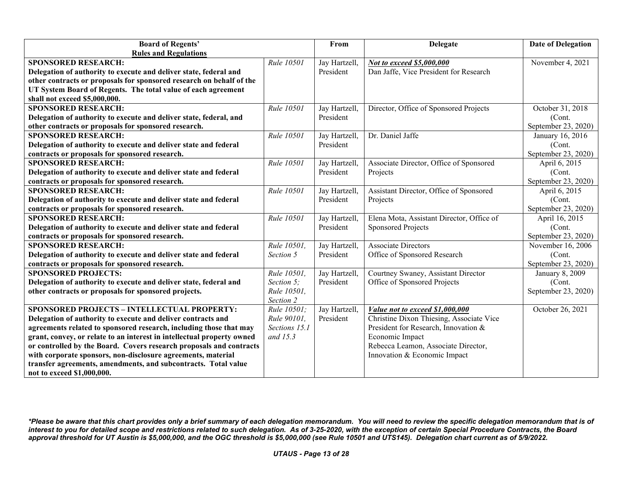| <b>Board of Regents'</b>                                               |               | From          | <b>Delegate</b>                           | <b>Date of Delegation</b> |
|------------------------------------------------------------------------|---------------|---------------|-------------------------------------------|---------------------------|
| <b>Rules and Regulations</b>                                           |               |               |                                           |                           |
| <b>SPONSORED RESEARCH:</b>                                             | Rule 10501    | Jay Hartzell, | Not to exceed \$5,000,000                 | November 4, 2021          |
| Delegation of authority to execute and deliver state, federal and      |               | President     | Dan Jaffe, Vice President for Research    |                           |
| other contracts or proposals for sponsored research on behalf of the   |               |               |                                           |                           |
| UT System Board of Regents. The total value of each agreement          |               |               |                                           |                           |
| shall not exceed \$5,000,000.                                          |               |               |                                           |                           |
| <b>SPONSORED RESEARCH:</b>                                             | Rule 10501    | Jay Hartzell, | Director, Office of Sponsored Projects    | October 31, 2018          |
| Delegation of authority to execute and deliver state, federal, and     |               | President     |                                           | (Cont.                    |
| other contracts or proposals for sponsored research.                   |               |               |                                           | September 23, 2020)       |
| <b>SPONSORED RESEARCH:</b>                                             | Rule 10501    | Jay Hartzell, | Dr. Daniel Jaffe                          | January 16, 2016          |
| Delegation of authority to execute and deliver state and federal       |               | President     |                                           | (Cont.                    |
| contracts or proposals for sponsored research.                         |               |               |                                           | September 23, 2020)       |
| <b>SPONSORED RESEARCH:</b>                                             | Rule 10501    | Jay Hartzell, | Associate Director, Office of Sponsored   | April 6, 2015             |
| Delegation of authority to execute and deliver state and federal       |               | President     | Projects                                  | (Cont.                    |
| contracts or proposals for sponsored research.                         |               |               |                                           | September 23, 2020)       |
| <b>SPONSORED RESEARCH:</b>                                             | Rule 10501    | Jay Hartzell, | Assistant Director, Office of Sponsored   | April 6, 2015             |
| Delegation of authority to execute and deliver state and federal       |               | President     | Projects                                  | (Cont.                    |
| contracts or proposals for sponsored research.                         |               |               |                                           | September 23, 2020)       |
| <b>SPONSORED RESEARCH:</b>                                             | Rule 10501    | Jay Hartzell, | Elena Mota, Assistant Director, Office of | April 16, 2015            |
| Delegation of authority to execute and deliver state and federal       |               | President     | Sponsored Projects                        | (Cont.                    |
| contracts or proposals for sponsored research.                         |               |               |                                           | September 23, 2020)       |
| <b>SPONSORED RESEARCH:</b>                                             | Rule 10501,   | Jay Hartzell, | <b>Associate Directors</b>                | November 16, 2006         |
| Delegation of authority to execute and deliver state and federal       | Section 5     | President     | Office of Sponsored Research              | (Cont.                    |
| contracts or proposals for sponsored research.                         |               |               |                                           | September 23, 2020)       |
| <b>SPONSORED PROJECTS:</b>                                             | Rule 10501,   | Jay Hartzell, | Courtney Swaney, Assistant Director       | January 8, 2009           |
| Delegation of authority to execute and deliver state, federal and      | Section 5;    | President     | Office of Sponsored Projects              | (Cont.                    |
| other contracts or proposals for sponsored projects.                   | Rule 10501,   |               |                                           | September 23, 2020)       |
|                                                                        | Section 2     |               |                                           |                           |
| <b>SPONSORED PROJECTS - INTELLECTUAL PROPERTY:</b>                     | Rule 10501;   | Jay Hartzell, | Value not to exceed \$1,000,000           | October 26, 2021          |
| Delegation of authority to execute and deliver contracts and           | Rule 90101,   | President     | Christine Dixon Thiesing, Associate Vice  |                           |
| agreements related to sponsored research, including those that may     | Sections 15.1 |               | President for Research, Innovation &      |                           |
| grant, convey, or relate to an interest in intellectual property owned | and 15.3      |               | Economic Impact                           |                           |
| or controlled by the Board. Covers research proposals and contracts    |               |               | Rebecca Leamon, Associate Director,       |                           |
| with corporate sponsors, non-disclosure agreements, material           |               |               | Innovation & Economic Impact              |                           |
| transfer agreements, amendments, and subcontracts. Total value         |               |               |                                           |                           |
| not to exceed \$1,000,000.                                             |               |               |                                           |                           |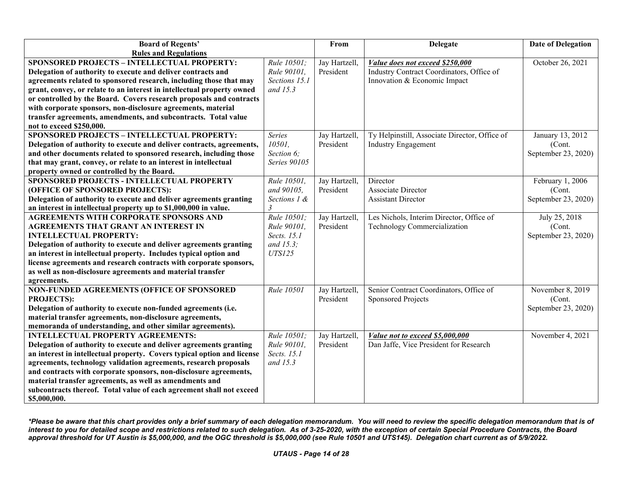| <b>Board of Regents'</b>                                                                                                                      |                         | From                       | <b>Delegate</b>                                                           | <b>Date of Delegation</b> |
|-----------------------------------------------------------------------------------------------------------------------------------------------|-------------------------|----------------------------|---------------------------------------------------------------------------|---------------------------|
| <b>Rules and Regulations</b>                                                                                                                  |                         |                            |                                                                           |                           |
| <b>SPONSORED PROJECTS - INTELLECTUAL PROPERTY:</b>                                                                                            | Rule 10501;             | Jay Hartzell,              | Value does not exceed \$250,000                                           | October 26, 2021          |
| Delegation of authority to execute and deliver contracts and                                                                                  | Rule 90101,             | President                  | Industry Contract Coordinators, Office of                                 |                           |
| agreements related to sponsored research, including those that may                                                                            | Sections 15.1           |                            | Innovation & Economic Impact                                              |                           |
| grant, convey, or relate to an interest in intellectual property owned                                                                        | and 15.3                |                            |                                                                           |                           |
| or controlled by the Board. Covers research proposals and contracts                                                                           |                         |                            |                                                                           |                           |
| with corporate sponsors, non-disclosure agreements, material                                                                                  |                         |                            |                                                                           |                           |
| transfer agreements, amendments, and subcontracts. Total value                                                                                |                         |                            |                                                                           |                           |
| not to exceed \$250,000.                                                                                                                      |                         |                            |                                                                           |                           |
| <b>SPONSORED PROJECTS - INTELLECTUAL PROPERTY:</b>                                                                                            | Series                  | Jay Hartzell,              | Ty Helpinstill, Associate Director, Office of                             | January 13, 2012          |
| Delegation of authority to execute and deliver contracts, agreements,                                                                         | 10501,                  | President                  | <b>Industry Engagement</b>                                                | (Cont.                    |
| and other documents related to sponsored research, including those                                                                            | Section 6;              |                            |                                                                           | September 23, 2020)       |
| that may grant, convey, or relate to an interest in intellectual                                                                              | Series 90105            |                            |                                                                           |                           |
| property owned or controlled by the Board.                                                                                                    |                         |                            |                                                                           |                           |
| SPONSORED PROJECTS - INTELLECTUAL PROPERTY                                                                                                    | Rule 10501,             | Jay Hartzell,              | Director                                                                  | February 1, 2006          |
| (OFFICE OF SPONSORED PROJECTS):                                                                                                               | and 90105,              | President                  | Associate Director                                                        | (Cont.                    |
| Delegation of authority to execute and deliver agreements granting                                                                            | Sections 1 &            |                            | <b>Assistant Director</b>                                                 | September 23, 2020)       |
| an interest in intellectual property up to \$1,000,000 in value.                                                                              | $\overline{\mathbf{3}}$ |                            |                                                                           |                           |
| <b>AGREEMENTS WITH CORPORATE SPONSORS AND</b>                                                                                                 | Rule 10501;             | Jay Hartzell,              | Les Nichols, Interim Director, Office of                                  | July 25, 2018             |
| <b>AGREEMENTS THAT GRANT AN INTEREST IN</b>                                                                                                   | Rule 90101.             | President                  | Technology Commercialization                                              | (Cont.                    |
| <b>INTELLECTUAL PROPERTY:</b>                                                                                                                 | Sects. 15.1             |                            |                                                                           | September 23, 2020)       |
| Delegation of authority to execute and deliver agreements granting                                                                            | and $15.3$ ;            |                            |                                                                           |                           |
| an interest in intellectual property. Includes typical option and                                                                             | <b>UTS125</b>           |                            |                                                                           |                           |
| license agreements and research contracts with corporate sponsors,                                                                            |                         |                            |                                                                           |                           |
| as well as non-disclosure agreements and material transfer                                                                                    |                         |                            |                                                                           |                           |
| agreements.                                                                                                                                   |                         |                            |                                                                           |                           |
| NON-FUNDED AGREEMENTS (OFFICE OF SPONSORED                                                                                                    | Rule 10501              | Jay Hartzell,              | Senior Contract Coordinators, Office of                                   | November 8, 2019          |
| <b>PROJECTS):</b>                                                                                                                             |                         | President                  | <b>Sponsored Projects</b>                                                 | (Cont.                    |
| Delegation of authority to execute non-funded agreements (i.e.                                                                                |                         |                            |                                                                           | September 23, 2020)       |
| material transfer agreements, non-disclosure agreements,                                                                                      |                         |                            |                                                                           |                           |
| memoranda of understanding, and other similar agreements).<br><b>INTELLECTUAL PROPERTY AGREEMENTS:</b>                                        | Rule 10501;             |                            |                                                                           | November 4, 2021          |
|                                                                                                                                               | Rule 90101,             | Jay Hartzell,<br>President | Value not to exceed \$5,000,000<br>Dan Jaffe, Vice President for Research |                           |
| Delegation of authority to execute and deliver agreements granting<br>an interest in intellectual property. Covers typical option and license | Sects. 15.1             |                            |                                                                           |                           |
| agreements, technology validation agreements, research proposals                                                                              | and 15.3                |                            |                                                                           |                           |
| and contracts with corporate sponsors, non-disclosure agreements,                                                                             |                         |                            |                                                                           |                           |
| material transfer agreements, as well as amendments and                                                                                       |                         |                            |                                                                           |                           |
| subcontracts thereof. Total value of each agreement shall not exceed                                                                          |                         |                            |                                                                           |                           |
| \$5,000,000.                                                                                                                                  |                         |                            |                                                                           |                           |

*<sup>\*</sup>Please be aware that this chart provides only a brief summary of each delegation memorandum. You will need to review the specific delegation memorandum that is of interest to you for detailed scope and restrictions related to such delegation. As of 3-25-2020, with the exception of certain Special Procedure Contracts, the Board approval threshold for UT Austin is \$5,000,000, and the OGC threshold is \$5,000,000 (see Rule 10501 and UTS145). Delegation chart current as of 5/9/2022.*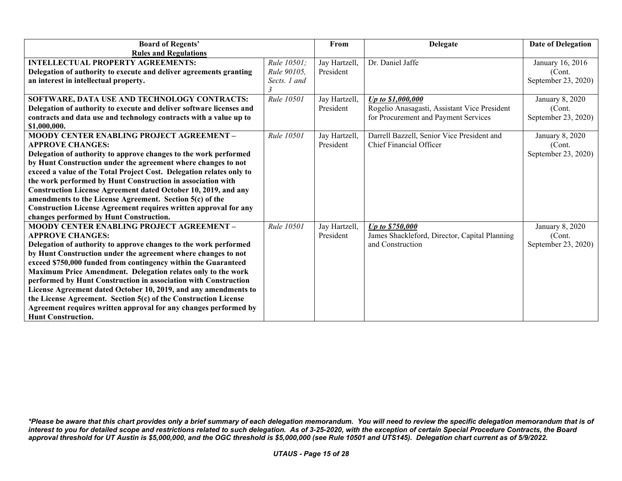| <b>Board of Regents'</b>                                                |                   | From          | <b>Delegate</b>                               | <b>Date of Delegation</b> |
|-------------------------------------------------------------------------|-------------------|---------------|-----------------------------------------------|---------------------------|
| <b>Rules and Regulations</b>                                            |                   |               |                                               |                           |
| <b>INTELLECTUAL PROPERTY AGREEMENTS:</b>                                | Rule 10501;       | Jay Hartzell, | Dr. Daniel Jaffe                              | January 16, 2016          |
| Delegation of authority to execute and deliver agreements granting      | Rule 90105.       | President     |                                               | (Cont.                    |
| an interest in intellectual property.                                   | Sects. 1 and      |               |                                               | September 23, 2020)       |
|                                                                         |                   |               |                                               |                           |
| SOFTWARE, DATA USE AND TECHNOLOGY CONTRACTS:                            | Rule 10501        | Jay Hartzell, | Up to \$1,000,000                             | January 8, 2020           |
| Delegation of authority to execute and deliver software licenses and    |                   | President     | Rogelio Anasagasti, Assistant Vice President  | (Cont.                    |
| contracts and data use and technology contracts with a value up to      |                   |               | for Procurement and Payment Services          | September 23, 2020)       |
| \$1,000,000.                                                            |                   |               |                                               |                           |
| <b>MOODY CENTER ENABLING PROJECT AGREEMENT -</b>                        | Rule 10501        | Jay Hartzell, | Darrell Bazzell, Senior Vice President and    | January 8, 2020           |
| <b>APPROVE CHANGES:</b>                                                 |                   | President     | Chief Financial Officer                       | (Cont.                    |
| Delegation of authority to approve changes to the work performed        |                   |               |                                               | September 23, 2020)       |
| by Hunt Construction under the agreement where changes to not           |                   |               |                                               |                           |
| exceed a value of the Total Project Cost. Delegation relates only to    |                   |               |                                               |                           |
| the work performed by Hunt Construction in association with             |                   |               |                                               |                           |
| Construction License Agreement dated October 10, 2019, and any          |                   |               |                                               |                           |
| amendments to the License Agreement. Section 5(c) of the                |                   |               |                                               |                           |
| <b>Construction License Agreement requires written approval for any</b> |                   |               |                                               |                           |
| changes performed by Hunt Construction.                                 |                   |               |                                               |                           |
| <b>MOODY CENTER ENABLING PROJECT AGREEMENT -</b>                        | <b>Rule 10501</b> | Jay Hartzell, | Up to \$750,000                               | January 8, 2020           |
| <b>APPROVE CHANGES:</b>                                                 |                   | President     | James Shackleford, Director, Capital Planning | (Cont.                    |
| Delegation of authority to approve changes to the work performed        |                   |               | and Construction                              | September 23, 2020)       |
| by Hunt Construction under the agreement where changes to not           |                   |               |                                               |                           |
| exceed \$750,000 funded from contingency within the Guaranteed          |                   |               |                                               |                           |
| Maximum Price Amendment. Delegation relates only to the work            |                   |               |                                               |                           |
| performed by Hunt Construction in association with Construction         |                   |               |                                               |                           |
| License Agreement dated October 10, 2019, and any amendments to         |                   |               |                                               |                           |
| the License Agreement. Section 5(c) of the Construction License         |                   |               |                                               |                           |
| Agreement requires written approval for any changes performed by        |                   |               |                                               |                           |
| <b>Hunt Construction.</b>                                               |                   |               |                                               |                           |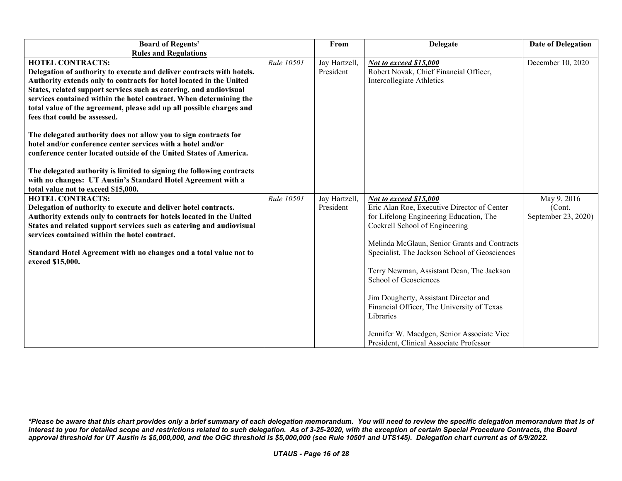| <b>Board of Regents'</b>                                                                                                                                                                                                                                                                                                                                                                                                                         |            | From                       | <b>Delegate</b>                                                                                                                                                                                                                                                                                                                                                                                                                                                                              | <b>Date of Delegation</b>     |
|--------------------------------------------------------------------------------------------------------------------------------------------------------------------------------------------------------------------------------------------------------------------------------------------------------------------------------------------------------------------------------------------------------------------------------------------------|------------|----------------------------|----------------------------------------------------------------------------------------------------------------------------------------------------------------------------------------------------------------------------------------------------------------------------------------------------------------------------------------------------------------------------------------------------------------------------------------------------------------------------------------------|-------------------------------|
| <b>Rules and Regulations</b>                                                                                                                                                                                                                                                                                                                                                                                                                     |            |                            |                                                                                                                                                                                                                                                                                                                                                                                                                                                                                              |                               |
| <b>HOTEL CONTRACTS:</b><br>Delegation of authority to execute and deliver contracts with hotels.<br>Authority extends only to contracts for hotel located in the United<br>States, related support services such as catering, and audiovisual<br>services contained within the hotel contract. When determining the<br>total value of the agreement, please add up all possible charges and                                                      | Rule 10501 | Jay Hartzell,<br>President | Not to exceed \$15,000<br>Robert Novak, Chief Financial Officer,<br>Intercollegiate Athletics                                                                                                                                                                                                                                                                                                                                                                                                | December 10, 2020             |
| fees that could be assessed.<br>The delegated authority does not allow you to sign contracts for<br>hotel and/or conference center services with a hotel and/or<br>conference center located outside of the United States of America.<br>The delegated authority is limited to signing the following contracts<br>with no changes: UT Austin's Standard Hotel Agreement with a<br>total value not to exceed \$15,000.<br><b>HOTEL CONTRACTS:</b> | Rule 10501 | Jay Hartzell,              | Not to exceed \$15,000                                                                                                                                                                                                                                                                                                                                                                                                                                                                       | May 9, 2016                   |
| Delegation of authority to execute and deliver hotel contracts.<br>Authority extends only to contracts for hotels located in the United<br>States and related support services such as catering and audiovisual<br>services contained within the hotel contract.<br>Standard Hotel Agreement with no changes and a total value not to<br>exceed \$15,000.                                                                                        |            | President                  | Eric Alan Roe, Executive Director of Center<br>for Lifelong Engineering Education, The<br>Cockrell School of Engineering<br>Melinda McGlaun, Senior Grants and Contracts<br>Specialist, The Jackson School of Geosciences<br>Terry Newman, Assistant Dean, The Jackson<br>School of Geosciences<br>Jim Dougherty, Assistant Director and<br>Financial Officer, The University of Texas<br>Libraries<br>Jennifer W. Maedgen, Senior Associate Vice<br>President, Clinical Associate Professor | (Cont.<br>September 23, 2020) |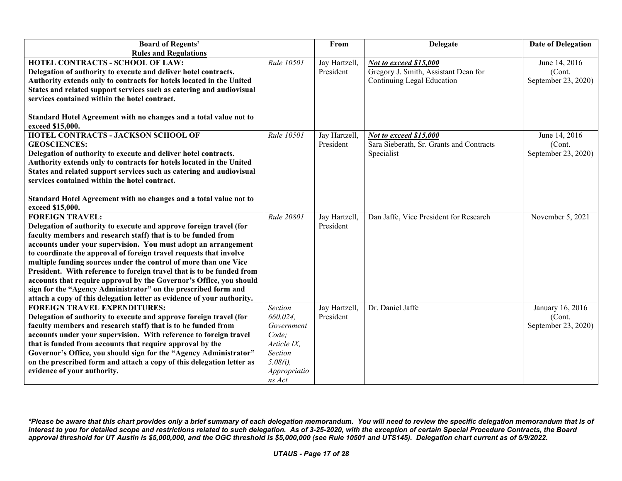| <b>Board of Regents'</b>                                               |              | From          | <b>Delegate</b>                          | <b>Date of Delegation</b> |
|------------------------------------------------------------------------|--------------|---------------|------------------------------------------|---------------------------|
| <b>Rules and Regulations</b>                                           |              |               |                                          |                           |
| HOTEL CONTRACTS - SCHOOL OF LAW:                                       | Rule 10501   | Jay Hartzell, | Not to exceed \$15,000                   | June 14, 2016             |
| Delegation of authority to execute and deliver hotel contracts.        |              | President     | Gregory J. Smith, Assistant Dean for     | (Cont.                    |
| Authority extends only to contracts for hotels located in the United   |              |               | Continuing Legal Education               | September 23, 2020)       |
| States and related support services such as catering and audiovisual   |              |               |                                          |                           |
| services contained within the hotel contract.                          |              |               |                                          |                           |
|                                                                        |              |               |                                          |                           |
| Standard Hotel Agreement with no changes and a total value not to      |              |               |                                          |                           |
| exceed \$15,000.                                                       |              |               |                                          |                           |
| <b>HOTEL CONTRACTS - JACKSON SCHOOL OF</b>                             | Rule 10501   | Jay Hartzell, | Not to exceed \$15,000                   | June 14, 2016             |
| <b>GEOSCIENCES:</b>                                                    |              | President     | Sara Sieberath, Sr. Grants and Contracts | (Cont.                    |
| Delegation of authority to execute and deliver hotel contracts.        |              |               | Specialist                               | September 23, 2020)       |
| Authority extends only to contracts for hotels located in the United   |              |               |                                          |                           |
| States and related support services such as catering and audiovisual   |              |               |                                          |                           |
| services contained within the hotel contract.                          |              |               |                                          |                           |
|                                                                        |              |               |                                          |                           |
| Standard Hotel Agreement with no changes and a total value not to      |              |               |                                          |                           |
| exceed \$15,000.                                                       |              |               |                                          |                           |
| <b>FOREIGN TRAVEL:</b>                                                 | Rule 20801   | Jay Hartzell, | Dan Jaffe, Vice President for Research   | November 5, 2021          |
| Delegation of authority to execute and approve foreign travel (for     |              | President     |                                          |                           |
| faculty members and research staff) that is to be funded from          |              |               |                                          |                           |
| accounts under your supervision. You must adopt an arrangement         |              |               |                                          |                           |
| to coordinate the approval of foreign travel requests that involve     |              |               |                                          |                           |
| multiple funding sources under the control of more than one Vice       |              |               |                                          |                           |
| President. With reference to foreign travel that is to be funded from  |              |               |                                          |                           |
| accounts that require approval by the Governor's Office, you should    |              |               |                                          |                           |
| sign for the "Agency Administrator" on the prescribed form and         |              |               |                                          |                           |
| attach a copy of this delegation letter as evidence of your authority. |              |               |                                          |                           |
| <b>FOREIGN TRAVEL EXPENDITURES:</b>                                    | Section      | Jay Hartzell, | Dr. Daniel Jaffe                         | January 16, 2016          |
| Delegation of authority to execute and approve foreign travel (for     | 660.024.     | President     |                                          | (Cont.                    |
| faculty members and research staff) that is to be funded from          | Government   |               |                                          | September 23, 2020)       |
| accounts under your supervision. With reference to foreign travel      | Code:        |               |                                          |                           |
| that is funded from accounts that require approval by the              | Article IX,  |               |                                          |                           |
| Governor's Office, you should sign for the "Agency Administrator"      | Section      |               |                                          |                           |
| on the prescribed form and attach a copy of this delegation letter as  | $5.08(i)$ ,  |               |                                          |                           |
| evidence of your authority.                                            | Appropriatio |               |                                          |                           |
|                                                                        | ns Act       |               |                                          |                           |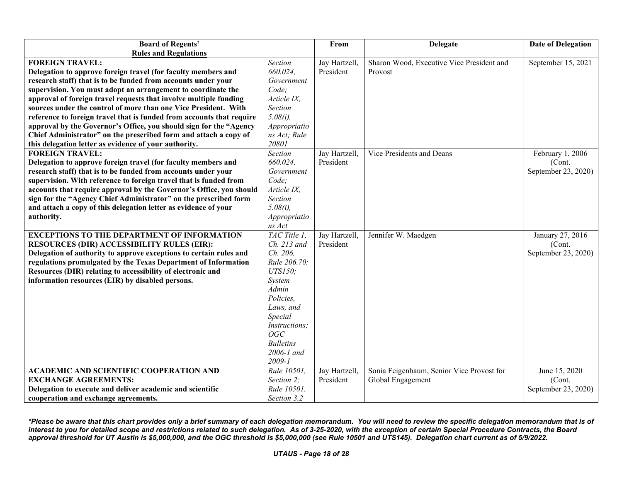| <b>Board of Regents'</b>                                              |                  | From          | <b>Delegate</b>                           | <b>Date of Delegation</b> |
|-----------------------------------------------------------------------|------------------|---------------|-------------------------------------------|---------------------------|
| <b>Rules and Regulations</b>                                          |                  |               |                                           |                           |
| <b>FOREIGN TRAVEL:</b>                                                | Section          | Jay Hartzell, | Sharon Wood, Executive Vice President and | September 15, 2021        |
| Delegation to approve foreign travel (for faculty members and         | 660.024,         | President     | Provost                                   |                           |
| research staff) that is to be funded from accounts under your         | Government       |               |                                           |                           |
| supervision. You must adopt an arrangement to coordinate the          | Code;            |               |                                           |                           |
| approval of foreign travel requests that involve multiple funding     | Article IX,      |               |                                           |                           |
| sources under the control of more than one Vice President. With       | Section          |               |                                           |                           |
| reference to foreign travel that is funded from accounts that require | $5.08(i)$ ,      |               |                                           |                           |
| approval by the Governor's Office, you should sign for the "Agency    | Appropriatio     |               |                                           |                           |
| Chief Administrator" on the prescribed form and attach a copy of      | ns Act; Rule     |               |                                           |                           |
| this delegation letter as evidence of your authority.                 | 20801            |               |                                           |                           |
| <b>FOREIGN TRAVEL:</b>                                                | Section          | Jay Hartzell, | Vice Presidents and Deans                 | February 1, 2006          |
| Delegation to approve foreign travel (for faculty members and         | 660.024,         | President     |                                           | (Cont.                    |
| research staff) that is to be funded from accounts under your         | Government       |               |                                           | September 23, 2020)       |
| supervision. With reference to foreign travel that is funded from     | Code;            |               |                                           |                           |
| accounts that require approval by the Governor's Office, you should   | Article IX,      |               |                                           |                           |
| sign for the "Agency Chief Administrator" on the prescribed form      | Section          |               |                                           |                           |
| and attach a copy of this delegation letter as evidence of your       | $5.08(i)$ ,      |               |                                           |                           |
| authority.                                                            | Appropriatio     |               |                                           |                           |
|                                                                       | ns Act           |               |                                           |                           |
| <b>EXCEPTIONS TO THE DEPARTMENT OF INFORMATION</b>                    | TAC Title 1.     | Jay Hartzell, | Jennifer W. Maedgen                       | January 27, 2016          |
| <b>RESOURCES (DIR) ACCESSIBILITY RULES (EIR):</b>                     | Ch. 213 and      | President     |                                           | (Cont.                    |
| Delegation of authority to approve exceptions to certain rules and    | Ch. 206,         |               |                                           | September 23, 2020)       |
| regulations promulgated by the Texas Department of Information        | Rule 206.70;     |               |                                           |                           |
| Resources (DIR) relating to accessibility of electronic and           | <b>UTS150</b> ;  |               |                                           |                           |
| information resources (EIR) by disabled persons.                      | System           |               |                                           |                           |
|                                                                       | Admin            |               |                                           |                           |
|                                                                       | Policies,        |               |                                           |                           |
|                                                                       | Laws, and        |               |                                           |                           |
|                                                                       | Special          |               |                                           |                           |
|                                                                       | Instructions;    |               |                                           |                           |
|                                                                       | OGC              |               |                                           |                           |
|                                                                       | <b>Bulletins</b> |               |                                           |                           |
|                                                                       | $2006 - 1$ and   |               |                                           |                           |
|                                                                       | $2009 - 1$       |               |                                           |                           |
| <b>ACADEMIC AND SCIENTIFIC COOPERATION AND</b>                        | Rule 10501,      | Jay Hartzell, | Sonia Feigenbaum, Senior Vice Provost for | June 15, 2020             |
| <b>EXCHANGE AGREEMENTS:</b>                                           | Section 2;       | President     | Global Engagement                         | (Cont.                    |
| Delegation to execute and deliver academic and scientific             | Rule 10501,      |               |                                           | September 23, 2020)       |
| cooperation and exchange agreements.                                  | Section 3.2      |               |                                           |                           |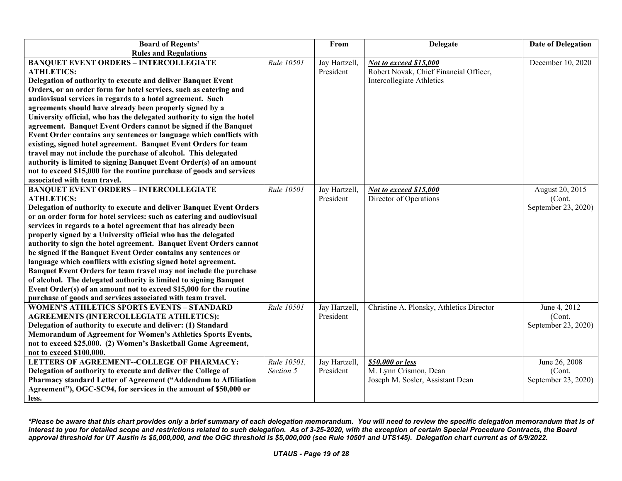| <b>Board of Regents'</b>                                               |             | From          | <b>Delegate</b>                          | <b>Date of Delegation</b> |
|------------------------------------------------------------------------|-------------|---------------|------------------------------------------|---------------------------|
| <b>Rules and Regulations</b>                                           |             |               |                                          |                           |
| <b>BANQUET EVENT ORDERS - INTERCOLLEGIATE</b>                          | Rule 10501  | Jay Hartzell, | Not to exceed \$15,000                   | December 10, 2020         |
| <b>ATHLETICS:</b>                                                      |             | President     | Robert Novak, Chief Financial Officer,   |                           |
| Delegation of authority to execute and deliver Banquet Event           |             |               | Intercollegiate Athletics                |                           |
| Orders, or an order form for hotel services, such as catering and      |             |               |                                          |                           |
| audiovisual services in regards to a hotel agreement. Such             |             |               |                                          |                           |
| agreements should have already been properly signed by a               |             |               |                                          |                           |
| University official, who has the delegated authority to sign the hotel |             |               |                                          |                           |
| agreement. Banquet Event Orders cannot be signed if the Banquet        |             |               |                                          |                           |
| Event Order contains any sentences or language which conflicts with    |             |               |                                          |                           |
| existing, signed hotel agreement. Banquet Event Orders for team        |             |               |                                          |                           |
| travel may not include the purchase of alcohol. This delegated         |             |               |                                          |                           |
| authority is limited to signing Banquet Event Order(s) of an amount    |             |               |                                          |                           |
| not to exceed \$15,000 for the routine purchase of goods and services  |             |               |                                          |                           |
| associated with team travel.                                           |             |               |                                          |                           |
| <b>BANQUET EVENT ORDERS - INTERCOLLEGIATE</b>                          | Rule 10501  | Jay Hartzell, | Not to exceed \$15,000                   | August 20, 2015           |
| <b>ATHLETICS:</b>                                                      |             | President     | Director of Operations                   | (Cont.                    |
| Delegation of authority to execute and deliver Banquet Event Orders    |             |               |                                          | September 23, 2020)       |
| or an order form for hotel services: such as catering and audiovisual  |             |               |                                          |                           |
| services in regards to a hotel agreement that has already been         |             |               |                                          |                           |
| properly signed by a University official who has the delegated         |             |               |                                          |                           |
| authority to sign the hotel agreement. Banquet Event Orders cannot     |             |               |                                          |                           |
| be signed if the Banquet Event Order contains any sentences or         |             |               |                                          |                           |
| language which conflicts with existing signed hotel agreement.         |             |               |                                          |                           |
| Banquet Event Orders for team travel may not include the purchase      |             |               |                                          |                           |
| of alcohol. The delegated authority is limited to signing Banquet      |             |               |                                          |                           |
| Event Order(s) of an amount not to exceed \$15,000 for the routine     |             |               |                                          |                           |
| purchase of goods and services associated with team travel.            |             |               |                                          |                           |
| <b>WOMEN'S ATHLETICS SPORTS EVENTS - STANDARD</b>                      | Rule 10501  | Jay Hartzell, | Christine A. Plonsky, Athletics Director | June 4, 2012              |
| <b>AGREEMENTS (INTERCOLLEGIATE ATHLETICS):</b>                         |             | President     |                                          | (Cont.                    |
| Delegation of authority to execute and deliver: (1) Standard           |             |               |                                          | September 23, 2020)       |
| Memorandum of Agreement for Women's Athletics Sports Events,           |             |               |                                          |                           |
| not to exceed \$25,000. (2) Women's Basketball Game Agreement,         |             |               |                                          |                           |
| not to exceed \$100,000.                                               |             |               |                                          |                           |
| LETTERS OF AGREEMENT--COLLEGE OF PHARMACY:                             | Rule 10501. | Jay Hartzell, | \$50,000 or less                         | June 26, 2008             |
| Delegation of authority to execute and deliver the College of          | Section 5   | President     | M. Lynn Crismon, Dean                    | (Cont.                    |
| Pharmacy standard Letter of Agreement ("Addendum to Affiliation        |             |               | Joseph M. Sosler, Assistant Dean         | September 23, 2020)       |
| Agreement"), OGC-SC94, for services in the amount of \$50,000 or       |             |               |                                          |                           |
| less.                                                                  |             |               |                                          |                           |

*<sup>\*</sup>Please be aware that this chart provides only a brief summary of each delegation memorandum. You will need to review the specific delegation memorandum that is of interest to you for detailed scope and restrictions related to such delegation. As of 3-25-2020, with the exception of certain Special Procedure Contracts, the Board approval threshold for UT Austin is \$5,000,000, and the OGC threshold is \$5,000,000 (see Rule 10501 and UTS145). Delegation chart current as of 5/9/2022.*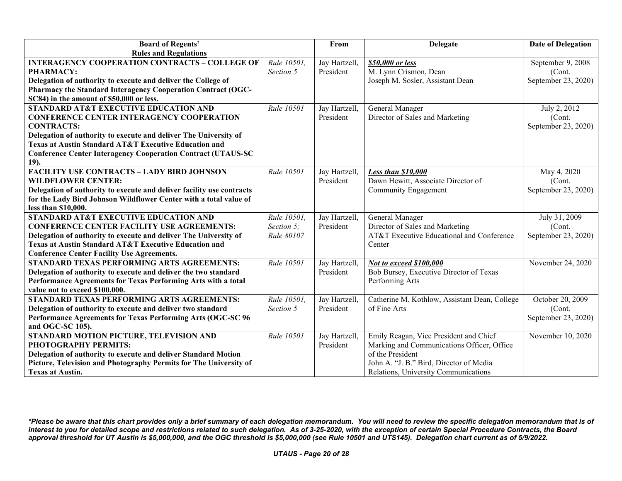| <b>Board of Regents'</b>                                              |             | From          | Delegate                                      | <b>Date of Delegation</b> |
|-----------------------------------------------------------------------|-------------|---------------|-----------------------------------------------|---------------------------|
| <b>Rules and Regulations</b>                                          |             |               |                                               |                           |
| <b>INTERAGENCY COOPERATION CONTRACTS - COLLEGE OF</b>                 | Rule 10501, | Jay Hartzell, | \$50,000 or less                              | September 9, 2008         |
| <b>PHARMACY:</b>                                                      | Section 5   | President     | M. Lynn Crismon, Dean                         | (Cont.                    |
| Delegation of authority to execute and deliver the College of         |             |               | Joseph M. Sosler, Assistant Dean              | September 23, 2020)       |
| Pharmacy the Standard Interagency Cooperation Contract (OGC-          |             |               |                                               |                           |
| SC84) in the amount of \$50,000 or less.                              |             |               |                                               |                           |
| <b>STANDARD AT&amp;T EXECUTIVE EDUCATION AND</b>                      | Rule 10501  | Jay Hartzell, | General Manager                               | July 2, 2012              |
| <b>CONFERENCE CENTER INTERAGENCY COOPERATION</b>                      |             | President     | Director of Sales and Marketing               | (Cont.                    |
| <b>CONTRACTS:</b>                                                     |             |               |                                               | September 23, 2020)       |
| Delegation of authority to execute and deliver The University of      |             |               |                                               |                           |
| Texas at Austin Standard AT&T Executive Education and                 |             |               |                                               |                           |
| <b>Conference Center Interagency Cooperation Contract (UTAUS-SC</b>   |             |               |                                               |                           |
| 19).                                                                  |             |               |                                               |                           |
| <b>FACILITY USE CONTRACTS - LADY BIRD JOHNSON</b>                     | Rule 10501  | Jay Hartzell, | <b>Less than \$10,000</b>                     | May 4, 2020               |
| <b>WILDFLOWER CENTER:</b>                                             |             | President     | Dawn Hewitt, Associate Director of            | (Cont.                    |
| Delegation of authority to execute and deliver facility use contracts |             |               | Community Engagement                          | September 23, 2020)       |
| for the Lady Bird Johnson Wildflower Center with a total value of     |             |               |                                               |                           |
| less than \$10,000.                                                   |             |               |                                               |                           |
| STANDARD AT&T EXECUTIVE EDUCATION AND                                 | Rule 10501, | Jay Hartzell, | General Manager                               | July 31, 2009             |
| <b>CONFERENCE CENTER FACILITY USE AGREEMENTS:</b>                     | Section 5:  | President     | Director of Sales and Marketing               | (Cont.                    |
| Delegation of authority to execute and deliver The University of      | Rule 80107  |               | AT&T Executive Educational and Conference     | September 23, 2020)       |
| <b>Texas at Austin Standard AT&amp;T Executive Education and</b>      |             |               | Center                                        |                           |
| <b>Conference Center Facility Use Agreements.</b>                     |             |               |                                               |                           |
| STANDARD TEXAS PERFORMING ARTS AGREEMENTS:                            | Rule 10501  | Jay Hartzell, | <b>Not to exceed \$100,000</b>                | November 24, 2020         |
| Delegation of authority to execute and deliver the two standard       |             | President     | Bob Bursey, Executive Director of Texas       |                           |
| Performance Agreements for Texas Performing Arts with a total         |             |               | Performing Arts                               |                           |
| value not to exceed \$100,000.                                        |             |               |                                               |                           |
| STANDARD TEXAS PERFORMING ARTS AGREEMENTS:                            | Rule 10501, | Jay Hartzell, | Catherine M. Kothlow, Assistant Dean, College | October 20, 2009          |
| Delegation of authority to execute and deliver two standard           | Section 5   | President     | of Fine Arts                                  | (Cont.                    |
| Performance Agreements for Texas Performing Arts (OGC-SC 96           |             |               |                                               | September 23, 2020)       |
| and OGC-SC 105).                                                      |             |               |                                               |                           |
| STANDARD MOTION PICTURE, TELEVISION AND                               | Rule 10501  | Jay Hartzell, | Emily Reagan, Vice President and Chief        | November 10, 2020         |
| PHOTOGRAPHY PERMITS:                                                  |             | President     | Marking and Communications Officer, Office    |                           |
| Delegation of authority to execute and deliver Standard Motion        |             |               | of the President                              |                           |
| Picture, Television and Photography Permits for The University of     |             |               | John A. "J. B." Bird, Director of Media       |                           |
| <b>Texas at Austin.</b>                                               |             |               | Relations, University Communications          |                           |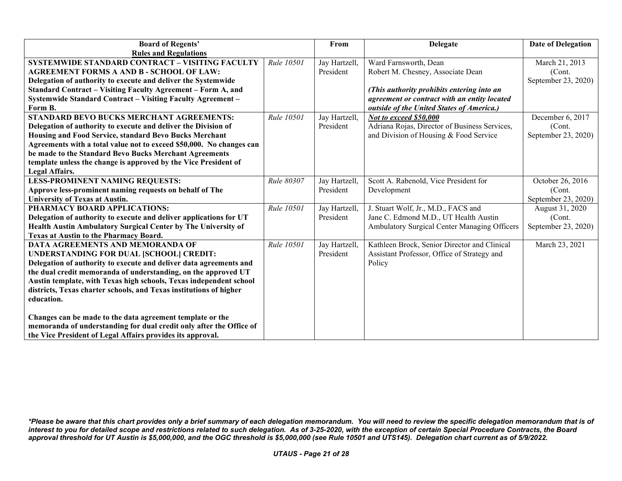| <b>Board of Regents'</b>                                             |                   | From          | <b>Delegate</b>                               | <b>Date of Delegation</b> |
|----------------------------------------------------------------------|-------------------|---------------|-----------------------------------------------|---------------------------|
| <b>Rules and Regulations</b>                                         |                   |               |                                               |                           |
| SYSTEMWIDE STANDARD CONTRACT - VISITING FACULTY                      | <b>Rule 10501</b> | Jay Hartzell, | Ward Farnsworth, Dean                         | March 21, 2013            |
| <b>AGREEMENT FORMS A AND B - SCHOOL OF LAW:</b>                      |                   | President     | Robert M. Chesney, Associate Dean             | (Cont.                    |
| Delegation of authority to execute and deliver the Systemwide        |                   |               |                                               | September 23, 2020)       |
| <b>Standard Contract - Visiting Faculty Agreement - Form A, and</b>  |                   |               | (This authority prohibits entering into an    |                           |
| <b>Systemwide Standard Contract - Visiting Faculty Agreement -</b>   |                   |               | agreement or contract with an entity located  |                           |
| Form B.                                                              |                   |               | outside of the United States of America.)     |                           |
| <b>STANDARD BEVO BUCKS MERCHANT AGREEMENTS:</b>                      | Rule 10501        | Jay Hartzell, | Not to exceed \$50,000                        | December 6, 2017          |
| Delegation of authority to execute and deliver the Division of       |                   | President     | Adriana Rojas, Director of Business Services, | (Cont.)                   |
| Housing and Food Service, standard Bevo Bucks Merchant               |                   |               | and Division of Housing & Food Service        | September 23, 2020)       |
| Agreements with a total value not to exceed \$50,000. No changes can |                   |               |                                               |                           |
| be made to the Standard Bevo Bucks Merchant Agreements               |                   |               |                                               |                           |
| template unless the change is approved by the Vice President of      |                   |               |                                               |                           |
| Legal Affairs.                                                       |                   |               |                                               |                           |
| <b>LESS-PROMINENT NAMING REQUESTS:</b>                               | Rule 80307        | Jay Hartzell, | Scott A. Rabenold, Vice President for         | October 26, 2016          |
| Approve less-prominent naming requests on behalf of The              |                   | President     | Development                                   | (Cont.                    |
| <b>University of Texas at Austin.</b>                                |                   |               |                                               | September 23, 2020)       |
| PHARMACY BOARD APPLICATIONS:                                         | Rule 10501        | Jay Hartzell, | J. Stuart Wolf, Jr., M.D., FACS and           | August 31, 2020           |
| Delegation of authority to execute and deliver applications for UT   |                   | President     | Jane C. Edmond M.D., UT Health Austin         | (Cont.                    |
| Health Austin Ambulatory Surgical Center by The University of        |                   |               | Ambulatory Surgical Center Managing Officers  | September 23, 2020)       |
| <b>Texas at Austin to the Pharmacy Board.</b>                        |                   |               |                                               |                           |
| <b>DATA AGREEMENTS AND MEMORANDA OF</b>                              | Rule 10501        | Jay Hartzell, | Kathleen Brock, Senior Director and Clinical  | March 23, 2021            |
| UNDERSTANDING FOR DUAL [SCHOOL] CREDIT:                              |                   | President     | Assistant Professor, Office of Strategy and   |                           |
| Delegation of authority to execute and deliver data agreements and   |                   |               | Policy                                        |                           |
| the dual credit memoranda of understanding, on the approved UT       |                   |               |                                               |                           |
| Austin template, with Texas high schools, Texas independent school   |                   |               |                                               |                           |
| districts, Texas charter schools, and Texas institutions of higher   |                   |               |                                               |                           |
| education.                                                           |                   |               |                                               |                           |
|                                                                      |                   |               |                                               |                           |
| Changes can be made to the data agreement template or the            |                   |               |                                               |                           |
| memoranda of understanding for dual credit only after the Office of  |                   |               |                                               |                           |
| the Vice President of Legal Affairs provides its approval.           |                   |               |                                               |                           |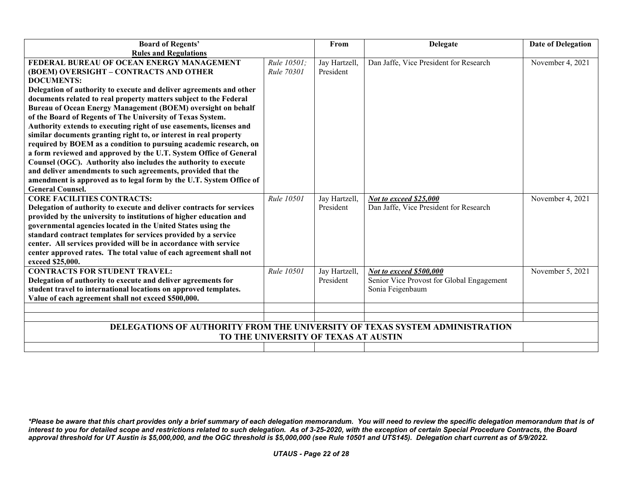| <b>Board of Regents'</b>                                                    |                                      | From          | <b>Delegate</b>                           | <b>Date of Delegation</b> |
|-----------------------------------------------------------------------------|--------------------------------------|---------------|-------------------------------------------|---------------------------|
| <b>Rules and Regulations</b>                                                |                                      |               |                                           |                           |
| FEDERAL BUREAU OF OCEAN ENERGY MANAGEMENT                                   | Rule 10501;                          | Jay Hartzell, | Dan Jaffe, Vice President for Research    | November 4, 2021          |
| (BOEM) OVERSIGHT - CONTRACTS AND OTHER                                      | Rule 70301                           | President     |                                           |                           |
| <b>DOCUMENTS:</b>                                                           |                                      |               |                                           |                           |
| Delegation of authority to execute and deliver agreements and other         |                                      |               |                                           |                           |
| documents related to real property matters subject to the Federal           |                                      |               |                                           |                           |
| Bureau of Ocean Energy Management (BOEM) oversight on behalf                |                                      |               |                                           |                           |
| of the Board of Regents of The University of Texas System.                  |                                      |               |                                           |                           |
| Authority extends to executing right of use easements, licenses and         |                                      |               |                                           |                           |
| similar documents granting right to, or interest in real property           |                                      |               |                                           |                           |
| required by BOEM as a condition to pursuing academic research, on           |                                      |               |                                           |                           |
| a form reviewed and approved by the U.T. System Office of General           |                                      |               |                                           |                           |
| Counsel (OGC). Authority also includes the authority to execute             |                                      |               |                                           |                           |
| and deliver amendments to such agreements, provided that the                |                                      |               |                                           |                           |
| amendment is approved as to legal form by the U.T. System Office of         |                                      |               |                                           |                           |
| <b>General Counsel.</b>                                                     |                                      |               |                                           |                           |
| <b>CORE FACILITIES CONTRACTS:</b>                                           | Rule 10501                           | Jay Hartzell, | Not to exceed \$25,000                    | November 4, 2021          |
| Delegation of authority to execute and deliver contracts for services       |                                      | President     | Dan Jaffe, Vice President for Research    |                           |
| provided by the university to institutions of higher education and          |                                      |               |                                           |                           |
| governmental agencies located in the United States using the                |                                      |               |                                           |                           |
| standard contract templates for services provided by a service              |                                      |               |                                           |                           |
| center. All services provided will be in accordance with service            |                                      |               |                                           |                           |
| center approved rates. The total value of each agreement shall not          |                                      |               |                                           |                           |
| exceed \$25,000.                                                            |                                      |               |                                           |                           |
| <b>CONTRACTS FOR STUDENT TRAVEL:</b>                                        | <b>Rule 10501</b>                    | Jay Hartzell, | Not to exceed \$500,000                   | November 5, 2021          |
| Delegation of authority to execute and deliver agreements for               |                                      | President     | Senior Vice Provost for Global Engagement |                           |
| student travel to international locations on approved templates.            |                                      |               | Sonia Feigenbaum                          |                           |
| Value of each agreement shall not exceed \$500,000.                         |                                      |               |                                           |                           |
|                                                                             |                                      |               |                                           |                           |
|                                                                             |                                      |               |                                           |                           |
| DELEGATIONS OF AUTHORITY FROM THE UNIVERSITY OF TEXAS SYSTEM ADMINISTRATION |                                      |               |                                           |                           |
|                                                                             | TO THE UNIVERSITY OF TEXAS AT AUSTIN |               |                                           |                           |
|                                                                             |                                      |               |                                           |                           |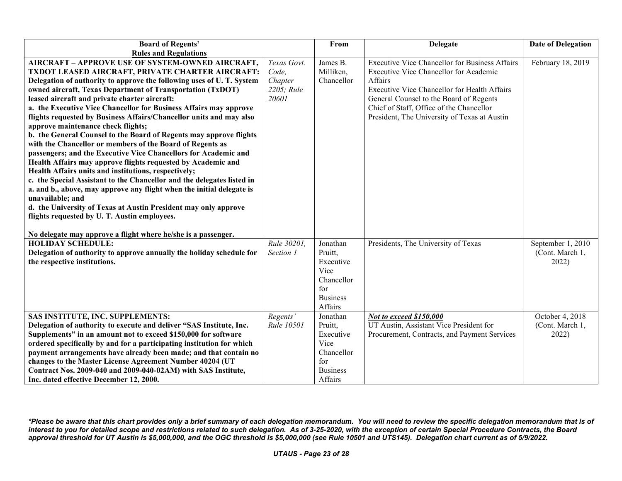| <b>Board of Regents'</b>                                                                                                                                                                                                                                                                                                                                                                                                                                                                                                                                                                                                                                                                                                                                                                                                                                                                                                                                                                                                                                                                                      |                                                        | From                                                                                        | <b>Delegate</b>                                                                                                                                                                                                                                                                                   | <b>Date of Delegation</b>                   |
|---------------------------------------------------------------------------------------------------------------------------------------------------------------------------------------------------------------------------------------------------------------------------------------------------------------------------------------------------------------------------------------------------------------------------------------------------------------------------------------------------------------------------------------------------------------------------------------------------------------------------------------------------------------------------------------------------------------------------------------------------------------------------------------------------------------------------------------------------------------------------------------------------------------------------------------------------------------------------------------------------------------------------------------------------------------------------------------------------------------|--------------------------------------------------------|---------------------------------------------------------------------------------------------|---------------------------------------------------------------------------------------------------------------------------------------------------------------------------------------------------------------------------------------------------------------------------------------------------|---------------------------------------------|
| <b>Rules and Regulations</b>                                                                                                                                                                                                                                                                                                                                                                                                                                                                                                                                                                                                                                                                                                                                                                                                                                                                                                                                                                                                                                                                                  |                                                        |                                                                                             |                                                                                                                                                                                                                                                                                                   |                                             |
| <b>AIRCRAFT - APPROVE USE OF SYSTEM-OWNED AIRCRAFT,</b><br>TXDOT LEASED AIRCRAFT, PRIVATE CHARTER AIRCRAFT:<br>Delegation of authority to approve the following uses of U. T. System<br>owned aircraft, Texas Department of Transportation (TxDOT)<br>leased aircraft and private charter aircraft:<br>a. the Executive Vice Chancellor for Business Affairs may approve<br>flights requested by Business Affairs/Chancellor units and may also<br>approve maintenance check flights;<br>b. the General Counsel to the Board of Regents may approve flights<br>with the Chancellor or members of the Board of Regents as<br>passengers; and the Executive Vice Chancellors for Academic and<br>Health Affairs may approve flights requested by Academic and<br>Health Affairs units and institutions, respectively;<br>c. the Special Assistant to the Chancellor and the delegates listed in<br>a. and b., above, may approve any flight when the initial delegate is<br>unavailable; and<br>d. the University of Texas at Austin President may only approve<br>flights requested by U. T. Austin employees. | Texas Govt.<br>Code,<br>Chapter<br>2205; Rule<br>20601 | James B.<br>Milliken,<br>Chancellor                                                         | <b>Executive Vice Chancellor for Business Affairs</b><br>Executive Vice Chancellor for Academic<br>Affairs<br>Executive Vice Chancellor for Health Affairs<br>General Counsel to the Board of Regents<br>Chief of Staff, Office of the Chancellor<br>President, The University of Texas at Austin | February 18, 2019                           |
|                                                                                                                                                                                                                                                                                                                                                                                                                                                                                                                                                                                                                                                                                                                                                                                                                                                                                                                                                                                                                                                                                                               |                                                        |                                                                                             |                                                                                                                                                                                                                                                                                                   |                                             |
| No delegate may approve a flight where he/she is a passenger.<br><b>HOLIDAY SCHEDULE:</b>                                                                                                                                                                                                                                                                                                                                                                                                                                                                                                                                                                                                                                                                                                                                                                                                                                                                                                                                                                                                                     | Rule 30201.                                            | Jonathan                                                                                    | Presidents, The University of Texas                                                                                                                                                                                                                                                               | September 1, 2010                           |
| Delegation of authority to approve annually the holiday schedule for<br>the respective institutions.                                                                                                                                                                                                                                                                                                                                                                                                                                                                                                                                                                                                                                                                                                                                                                                                                                                                                                                                                                                                          | Section 1                                              | Pruitt,<br>Executive<br>Vice<br>Chancellor<br>for<br><b>Business</b><br>Affairs             |                                                                                                                                                                                                                                                                                                   | (Cont. March 1,<br>2022)                    |
| SAS INSTITUTE, INC. SUPPLEMENTS:<br>Delegation of authority to execute and deliver "SAS Institute, Inc.<br>Supplements" in an amount not to exceed \$150,000 for software<br>ordered specifically by and for a participating institution for which<br>payment arrangements have already been made; and that contain no<br>changes to the Master License Agreement Number 40204 (UT<br>Contract Nos. 2009-040 and 2009-040-02AM) with SAS Institute,<br>Inc. dated effective December 12, 2000.                                                                                                                                                                                                                                                                                                                                                                                                                                                                                                                                                                                                                | Regents'<br>Rule 10501                                 | Jonathan<br>Pruitt,<br>Executive<br>Vice<br>Chancellor<br>for<br><b>Business</b><br>Affairs | Not to exceed \$150,000<br>UT Austin, Assistant Vice President for<br>Procurement, Contracts, and Payment Services                                                                                                                                                                                | October 4, 2018<br>(Cont. March 1,<br>2022) |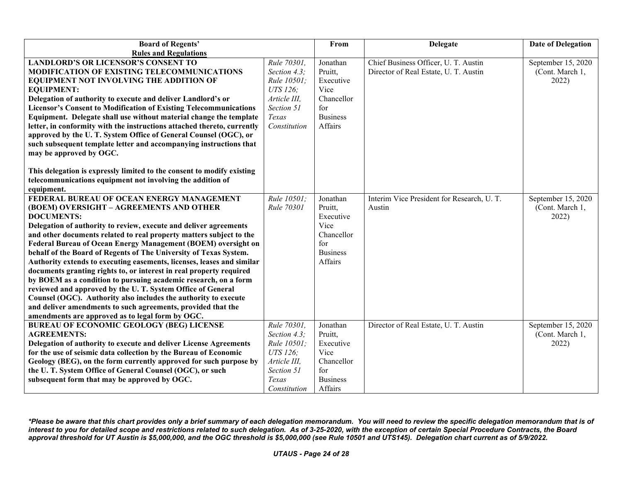| <b>Board of Regents'</b>                                                                                                                                                                                                                                                                                                                                                                                                                                                                                                                                                                                                                                                                                                                                                                                                                                                           |                                                                                                               | From                                                                                        | <b>Delegate</b>                                                               | <b>Date of Delegation</b>                      |
|------------------------------------------------------------------------------------------------------------------------------------------------------------------------------------------------------------------------------------------------------------------------------------------------------------------------------------------------------------------------------------------------------------------------------------------------------------------------------------------------------------------------------------------------------------------------------------------------------------------------------------------------------------------------------------------------------------------------------------------------------------------------------------------------------------------------------------------------------------------------------------|---------------------------------------------------------------------------------------------------------------|---------------------------------------------------------------------------------------------|-------------------------------------------------------------------------------|------------------------------------------------|
| <b>Rules and Regulations</b>                                                                                                                                                                                                                                                                                                                                                                                                                                                                                                                                                                                                                                                                                                                                                                                                                                                       |                                                                                                               |                                                                                             |                                                                               |                                                |
| <b>LANDLORD'S OR LICENSOR'S CONSENT TO</b><br>MODIFICATION OF EXISTING TELECOMMUNICATIONS<br>EQUIPMENT NOT INVOLVING THE ADDITION OF<br><b>EQUIPMENT:</b><br>Delegation of authority to execute and deliver Landlord's or<br><b>Licensor's Consent to Modification of Existing Telecommunications</b><br>Equipment. Delegate shall use without material change the template<br>letter, in conformity with the instructions attached thereto, currently<br>approved by the U.T. System Office of General Counsel (OGC), or<br>such subsequent template letter and accompanying instructions that<br>may be approved by OGC.<br>This delegation is expressly limited to the consent to modify existing<br>telecommunications equipment not involving the addition of                                                                                                                 | Rule 70301,<br>Section 4.3;<br>Rule 10501;<br>UTS 126;<br>Article III,<br>Section 51<br>Texas<br>Constitution | Jonathan<br>Pruitt,<br>Executive<br>Vice<br>Chancellor<br>for<br><b>Business</b><br>Affairs | Chief Business Officer, U. T. Austin<br>Director of Real Estate, U. T. Austin | September 15, 2020<br>(Cont. March 1,<br>2022) |
| equipment.<br>FEDERAL BUREAU OF OCEAN ENERGY MANAGEMENT<br>(BOEM) OVERSIGHT - AGREEMENTS AND OTHER<br><b>DOCUMENTS:</b><br>Delegation of authority to review, execute and deliver agreements<br>and other documents related to real property matters subject to the<br>Federal Bureau of Ocean Energy Management (BOEM) oversight on<br>behalf of the Board of Regents of The University of Texas System.<br>Authority extends to executing easements, licenses, leases and similar<br>documents granting rights to, or interest in real property required<br>by BOEM as a condition to pursuing academic research, on a form<br>reviewed and approved by the U.T. System Office of General<br>Counsel (OGC). Authority also includes the authority to execute<br>and deliver amendments to such agreements, provided that the<br>amendments are approved as to legal form by OGC. | Rule 10501;<br>Rule 70301                                                                                     | Jonathan<br>Pruitt,<br>Executive<br>Vice<br>Chancellor<br>for<br><b>Business</b><br>Affairs | Interim Vice President for Research, U.T.<br>Austin                           | September 15, 2020<br>(Cont. March 1,<br>2022) |
| <b>BUREAU OF ECONOMIC GEOLOGY (BEG) LICENSE</b><br><b>AGREEMENTS:</b><br>Delegation of authority to execute and deliver License Agreements<br>for the use of seismic data collection by the Bureau of Economic<br>Geology (BEG), on the form currently approved for such purpose by<br>the U.T. System Office of General Counsel (OGC), or such<br>subsequent form that may be approved by OGC.                                                                                                                                                                                                                                                                                                                                                                                                                                                                                    | Rule 70301,<br>Section 4.3;<br>Rule 10501;<br>UTS 126:<br>Article III,<br>Section 51<br>Texas<br>Constitution | Jonathan<br>Pruitt,<br>Executive<br>Vice<br>Chancellor<br>for<br><b>Business</b><br>Affairs | Director of Real Estate, U. T. Austin                                         | September 15, 2020<br>(Cont. March 1,<br>2022) |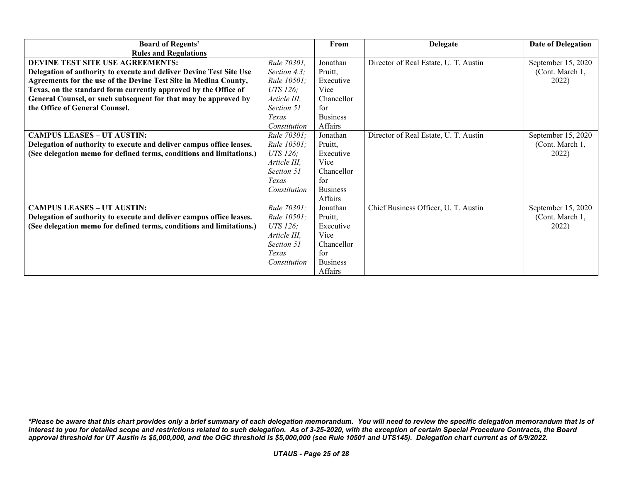| <b>Board of Regents'</b>                                             |                    | From            | <b>Delegate</b>                       | <b>Date of Delegation</b> |
|----------------------------------------------------------------------|--------------------|-----------------|---------------------------------------|---------------------------|
| <b>Rules and Regulations</b>                                         |                    |                 |                                       |                           |
| DEVINE TEST SITE USE AGREEMENTS:                                     | Rule 70301,        | Jonathan        | Director of Real Estate, U. T. Austin | September 15, 2020        |
| Delegation of authority to execute and deliver Devine Test Site Use  | Section 4.3;       | Pruitt,         |                                       | (Cont. March 1,           |
| Agreements for the use of the Devine Test Site in Medina County,     | <i>Rule 10501;</i> | Executive       |                                       | 2022)                     |
| Texas, on the standard form currently approved by the Office of      | UTS 126;           | Vice            |                                       |                           |
| General Counsel, or such subsequent for that may be approved by      | Article III,       | Chancellor      |                                       |                           |
| the Office of General Counsel.                                       | Section 51         | for             |                                       |                           |
|                                                                      | Texas              | <b>Business</b> |                                       |                           |
|                                                                      | Constitution       | Affairs         |                                       |                           |
| <b>CAMPUS LEASES - UT AUSTIN:</b>                                    | Rule 70301;        | Jonathan        | Director of Real Estate, U. T. Austin | September 15, 2020        |
| Delegation of authority to execute and deliver campus office leases. | Rule 10501;        | Pruitt,         |                                       | (Cont. March 1,           |
| (See delegation memo for defined terms, conditions and limitations.) | UTS 126;           | Executive       |                                       | 2022)                     |
|                                                                      | Article III,       | Vice            |                                       |                           |
|                                                                      | Section 51         | Chancellor      |                                       |                           |
|                                                                      | Texas              | for             |                                       |                           |
|                                                                      | Constitution       | <b>Business</b> |                                       |                           |
|                                                                      |                    | Affairs         |                                       |                           |
| <b>CAMPUS LEASES - UT AUSTIN:</b>                                    | <i>Rule 70301;</i> | Jonathan        | Chief Business Officer, U. T. Austin  | September 15, 2020        |
| Delegation of authority to execute and deliver campus office leases. | <i>Rule 10501;</i> | Pruitt,         |                                       | (Cont. March 1,           |
| (See delegation memo for defined terms, conditions and limitations.) | UTS 126;           | Executive       |                                       | 2022)                     |
|                                                                      | Article III,       | Vice            |                                       |                           |
|                                                                      | Section 51         | Chancellor      |                                       |                           |
|                                                                      | Texas              | for             |                                       |                           |
|                                                                      | Constitution       | <b>Business</b> |                                       |                           |
|                                                                      |                    | Affairs         |                                       |                           |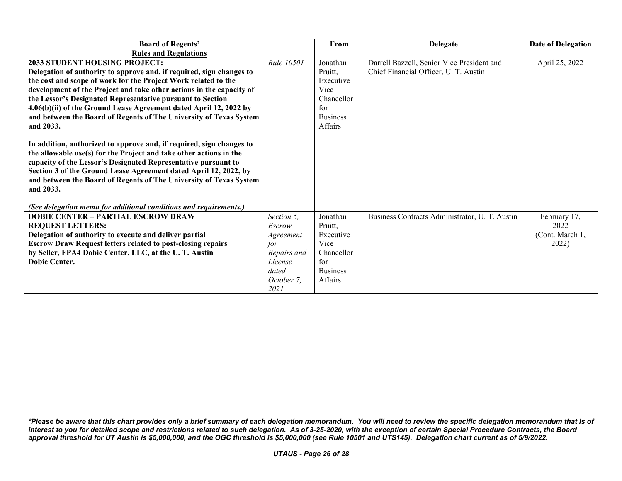| <b>Board of Regents'</b>                                             |             | From            | <b>Delegate</b>                                | <b>Date of Delegation</b> |
|----------------------------------------------------------------------|-------------|-----------------|------------------------------------------------|---------------------------|
| <b>Rules and Regulations</b>                                         |             |                 |                                                |                           |
| <b>2033 STUDENT HOUSING PROJECT:</b>                                 | Rule 10501  | Jonathan        | Darrell Bazzell, Senior Vice President and     | April 25, 2022            |
| Delegation of authority to approve and, if required, sign changes to |             | Pruitt,         | Chief Financial Officer, U. T. Austin          |                           |
| the cost and scope of work for the Project Work related to the       |             | Executive       |                                                |                           |
| development of the Project and take other actions in the capacity of |             | Vice            |                                                |                           |
| the Lessor's Designated Representative pursuant to Section           |             | Chancellor      |                                                |                           |
| 4.06(b)(ii) of the Ground Lease Agreement dated April 12, 2022 by    |             | for             |                                                |                           |
| and between the Board of Regents of The University of Texas System   |             | <b>Business</b> |                                                |                           |
| and 2033.                                                            |             | Affairs         |                                                |                           |
|                                                                      |             |                 |                                                |                           |
| In addition, authorized to approve and, if required, sign changes to |             |                 |                                                |                           |
| the allowable use(s) for the Project and take other actions in the   |             |                 |                                                |                           |
| capacity of the Lessor's Designated Representative pursuant to       |             |                 |                                                |                           |
| Section 3 of the Ground Lease Agreement dated April 12, 2022, by     |             |                 |                                                |                           |
| and between the Board of Regents of The University of Texas System   |             |                 |                                                |                           |
| and 2033.                                                            |             |                 |                                                |                           |
|                                                                      |             |                 |                                                |                           |
| (See delegation memo for additional conditions and requirements.)    |             |                 |                                                |                           |
| <b>DOBIE CENTER - PARTIAL ESCROW DRAW</b>                            | Section 5,  | Jonathan        | Business Contracts Administrator, U. T. Austin | February 17,              |
| <b>REQUEST LETTERS:</b>                                              | Escrow      | Pruitt,         |                                                | 2022                      |
| Delegation of authority to execute and deliver partial               | Agreement   | Executive       |                                                | (Cont. March 1,           |
| <b>Escrow Draw Request letters related to post-closing repairs</b>   | for         | Vice            |                                                | 2022)                     |
| by Seller, FPA4 Dobie Center, LLC, at the U.T. Austin                | Repairs and | Chancellor      |                                                |                           |
| <b>Dobie Center.</b>                                                 | License     | for             |                                                |                           |
|                                                                      | dated       | <b>Business</b> |                                                |                           |
|                                                                      | October 7,  | Affairs         |                                                |                           |
|                                                                      | 2021        |                 |                                                |                           |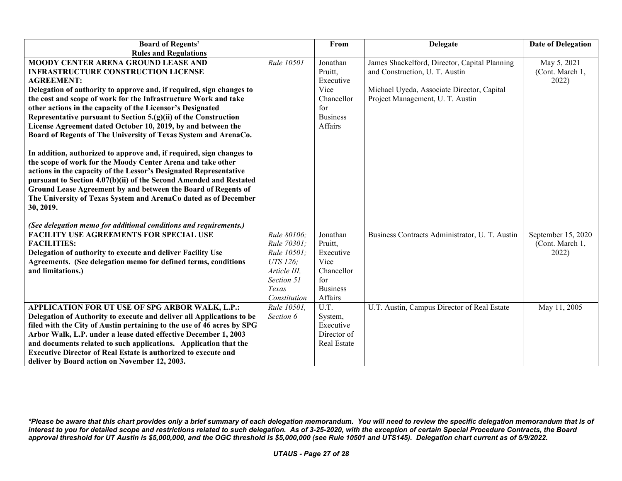| <b>Board of Regents'</b>                                                                                                                                                                                                                                                                                                                                                                                                                                                                             |                                                                       | From                                                       | Delegate                                                                        | <b>Date of Delegation</b>                      |
|------------------------------------------------------------------------------------------------------------------------------------------------------------------------------------------------------------------------------------------------------------------------------------------------------------------------------------------------------------------------------------------------------------------------------------------------------------------------------------------------------|-----------------------------------------------------------------------|------------------------------------------------------------|---------------------------------------------------------------------------------|------------------------------------------------|
| <b>Rules and Regulations</b>                                                                                                                                                                                                                                                                                                                                                                                                                                                                         |                                                                       |                                                            |                                                                                 |                                                |
| MOODY CENTER ARENA GROUND LEASE AND<br><b>INFRASTRUCTURE CONSTRUCTION LICENSE</b><br><b>AGREEMENT:</b>                                                                                                                                                                                                                                                                                                                                                                                               | Rule 10501                                                            | Jonathan<br>Pruitt,<br>Executive                           | James Shackelford, Director, Capital Planning<br>and Construction, U. T. Austin | May 5, 2021<br>(Cont. March 1,<br>2022)        |
| Delegation of authority to approve and, if required, sign changes to<br>the cost and scope of work for the Infrastructure Work and take<br>other actions in the capacity of the Licensor's Designated<br>Representative pursuant to Section 5.(g)(ii) of the Construction<br>License Agreement dated October 10, 2019, by and between the<br>Board of Regents of The University of Texas System and ArenaCo.                                                                                         |                                                                       | Vice<br>Chancellor<br>for<br><b>Business</b><br>Affairs    | Michael Uyeda, Associate Director, Capital<br>Project Management, U. T. Austin  |                                                |
| In addition, authorized to approve and, if required, sign changes to<br>the scope of work for the Moody Center Arena and take other<br>actions in the capacity of the Lessor's Designated Representative<br>pursuant to Section 4.07(b)(ii) of the Second Amended and Restated<br>Ground Lease Agreement by and between the Board of Regents of<br>The University of Texas System and ArenaCo dated as of December<br>30, 2019.<br>(See delegation memo for additional conditions and requirements.) |                                                                       |                                                            |                                                                                 |                                                |
| <b>FACILITY USE AGREEMENTS FOR SPECIAL USE</b><br><b>FACILITIES:</b><br>Delegation of authority to execute and deliver Facility Use<br>Agreements. (See delegation memo for defined terms, conditions<br>and limitations.)                                                                                                                                                                                                                                                                           | Rule 80106;<br>Rule 70301;<br>Rule 10501;<br>UTS 126:<br>Article III. | Jonathan<br>Pruitt.<br>Executive<br>Vice<br>Chancellor     | Business Contracts Administrator, U. T. Austin                                  | September 15, 2020<br>(Cont. March 1,<br>2022) |
|                                                                                                                                                                                                                                                                                                                                                                                                                                                                                                      | Section 51<br>Texas<br>Constitution                                   | for<br><b>Business</b><br>Affairs                          |                                                                                 |                                                |
| APPLICATION FOR UT USE OF SPG ARBOR WALK, L.P.:<br>Delegation of Authority to execute and deliver all Applications to be<br>filed with the City of Austin pertaining to the use of 46 acres by SPG<br>Arbor Walk, L.P. under a lease dated effective December 1, 2003<br>and documents related to such applications. Application that the<br><b>Executive Director of Real Estate is authorized to execute and</b><br>deliver by Board action on November 12, 2003.                                  | Rule 10501.<br>Section 6                                              | U.T.<br>System,<br>Executive<br>Director of<br>Real Estate | U.T. Austin, Campus Director of Real Estate                                     | May 11, 2005                                   |